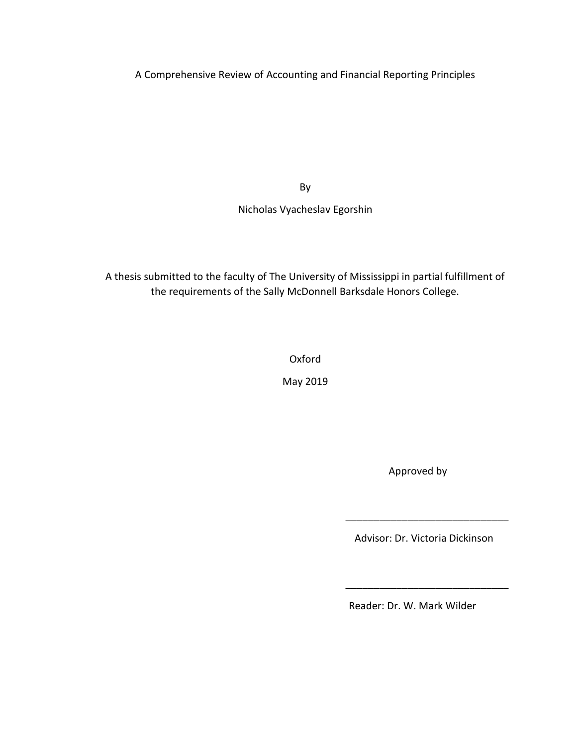A Comprehensive Review of Accounting and Financial Reporting Principles

By

Nicholas Vyacheslav Egorshin

A thesis submitted to the faculty of The University of Mississippi in partial fulfillment of the requirements of the Sally McDonnell Barksdale Honors College.

Oxford

May 2019

Approved by

Advisor: Dr. Victoria Dickinson

\_\_\_\_\_\_\_\_\_\_\_\_\_\_\_\_\_\_\_\_\_\_\_\_\_\_\_\_\_

\_\_\_\_\_\_\_\_\_\_\_\_\_\_\_\_\_\_\_\_\_\_\_\_\_\_\_\_\_

Reader: Dr. W. Mark Wilder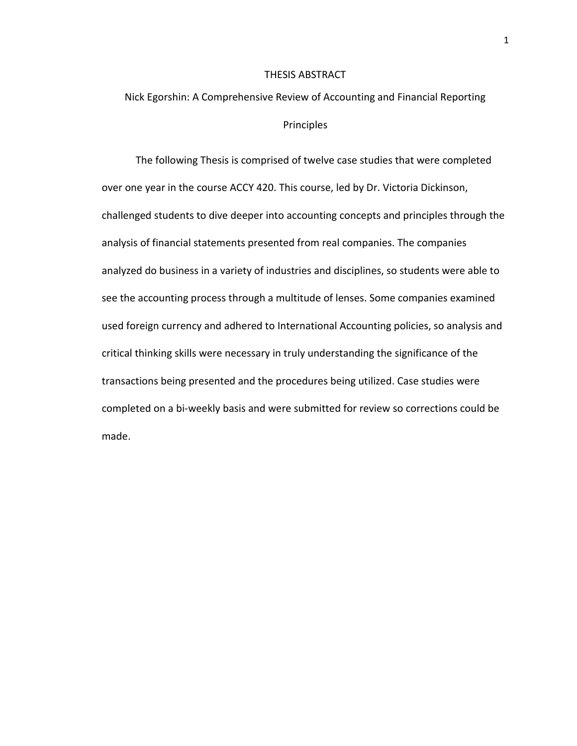#### THESIS ABSTRACT

# Nick Egorshin: A Comprehensive Review of Accounting and Financial Reporting Principles

The following Thesis is comprised of twelve case studies that were completed over one year in the course ACCY 420. This course, led by Dr. Victoria Dickinson, challenged students to dive deeper into accounting concepts and principles through the analysis of financial statements presented from real companies. The companies analyzed do business in a variety of industries and disciplines, so students were able to see the accounting process through a multitude of lenses. Some companies examined used foreign currency and adhered to International Accounting policies, so analysis and critical thinking skills were necessary in truly understanding the significance of the transactions being presented and the procedures being utilized. Case studies were completed on a bi-weekly basis and were submitted for review so corrections could be made.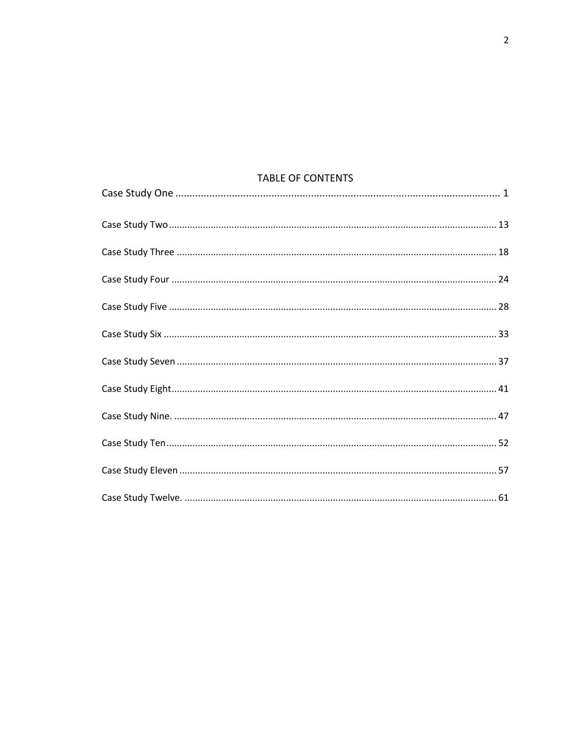## TABLE OF CONTENTS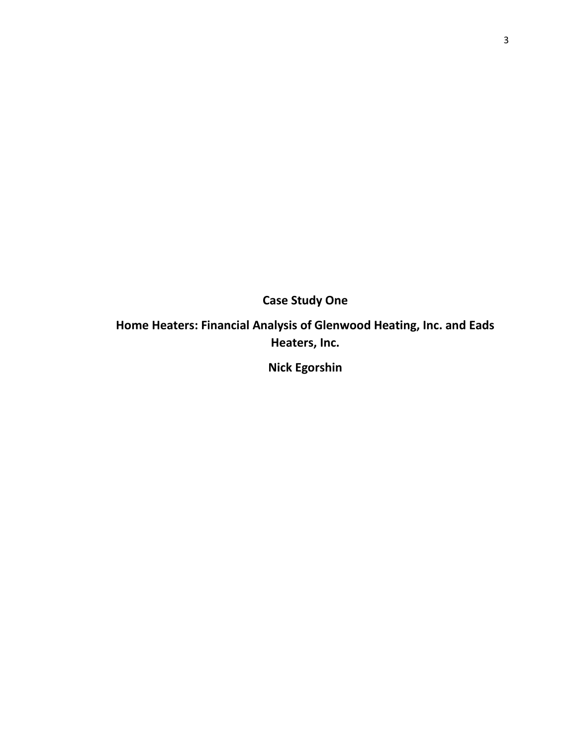**Case Study One**

**Home Heaters: Financial Analysis of Glenwood Heating, Inc. and Eads Heaters, Inc.** 

**Nick Egorshin**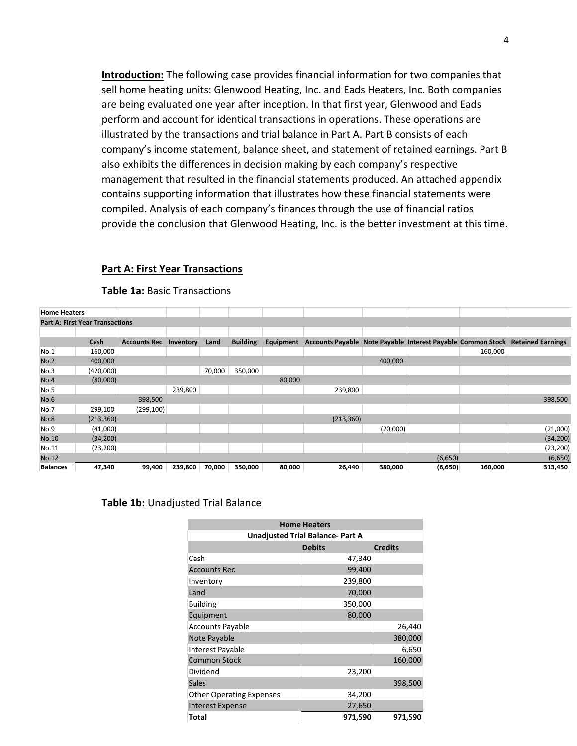**Introduction:** The following case provides financial information for two companies that sell home heating units: Glenwood Heating, Inc. and Eads Heaters, Inc. Both companies are being evaluated one year after inception. In that first year, Glenwood and Eads perform and account for identical transactions in operations. These operations are illustrated by the transactions and trial balance in Part A. Part B consists of each company's income statement, balance sheet, and statement of retained earnings. Part B also exhibits the differences in decision making by each company's respective management that resulted in the financial statements produced. An attached appendix contains supporting information that illustrates how these financial statements were compiled. Analysis of each company's finances through the use of financial ratios provide the conclusion that Glenwood Heating, Inc. is the better investment at this time.

#### **Part A: First Year Transactions**

| <b>Home Heaters</b> |                                        |                     |           |        |                 |           |                                                             |          |         |         |                          |
|---------------------|----------------------------------------|---------------------|-----------|--------|-----------------|-----------|-------------------------------------------------------------|----------|---------|---------|--------------------------|
|                     | <b>Part A: First Year Transactions</b> |                     |           |        |                 |           |                                                             |          |         |         |                          |
|                     |                                        |                     |           |        |                 |           |                                                             |          |         |         |                          |
|                     | Cash                                   | <b>Accounts Rec</b> | Inventory | Land   | <b>Building</b> | Equipment | Accounts Payable Note Payable Interest Payable Common Stock |          |         |         | <b>Retained Earnings</b> |
| No.1                | 160,000                                |                     |           |        |                 |           |                                                             |          |         | 160,000 |                          |
| No.2                | 400,000                                |                     |           |        |                 |           |                                                             | 400,000  |         |         |                          |
| No.3                | (420,000)                              |                     |           | 70,000 | 350,000         |           |                                                             |          |         |         |                          |
| No.4                | (80,000)                               |                     |           |        |                 | 80,000    |                                                             |          |         |         |                          |
| No.5                |                                        |                     | 239,800   |        |                 |           | 239,800                                                     |          |         |         |                          |
| <b>No.6</b>         |                                        | 398,500             |           |        |                 |           |                                                             |          |         |         | 398,500                  |
| No.7                | 299,100                                | (299, 100)          |           |        |                 |           |                                                             |          |         |         |                          |
| <b>No.8</b>         | (213, 360)                             |                     |           |        |                 |           | (213, 360)                                                  |          |         |         |                          |
| No.9                | (41,000)                               |                     |           |        |                 |           |                                                             | (20,000) |         |         | (21,000)                 |
| No.10               | (34, 200)                              |                     |           |        |                 |           |                                                             |          |         |         | (34, 200)                |
| No.11               | (23, 200)                              |                     |           |        |                 |           |                                                             |          |         |         | (23, 200)                |
| No.12               |                                        |                     |           |        |                 |           |                                                             |          | (6,650) |         | (6,650)                  |
| <b>Balances</b>     | 47,340                                 | 99,400              | 239,800   | 70,000 | 350,000         | 80,000    | 26,440                                                      | 380,000  | (6,650) | 160,000 | 313,450                  |

#### **Table 1a:** Basic Transactions

#### **Table 1b:** Unadjusted Trial Balance

| <b>Home Heaters</b>             |                                         |                |  |  |  |  |  |  |  |  |
|---------------------------------|-----------------------------------------|----------------|--|--|--|--|--|--|--|--|
|                                 | <b>Unadjusted Trial Balance- Part A</b> |                |  |  |  |  |  |  |  |  |
|                                 | <b>Debits</b>                           | <b>Credits</b> |  |  |  |  |  |  |  |  |
| Cash                            | 47,340                                  |                |  |  |  |  |  |  |  |  |
| <b>Accounts Rec</b>             | 99,400                                  |                |  |  |  |  |  |  |  |  |
| Inventory                       | 239,800                                 |                |  |  |  |  |  |  |  |  |
| Land                            | 70,000                                  |                |  |  |  |  |  |  |  |  |
| <b>Building</b>                 | 350,000                                 |                |  |  |  |  |  |  |  |  |
| Equipment                       | 80,000                                  |                |  |  |  |  |  |  |  |  |
| <b>Accounts Payable</b>         |                                         | 26,440         |  |  |  |  |  |  |  |  |
| Note Payable                    |                                         | 380,000        |  |  |  |  |  |  |  |  |
| Interest Payable                |                                         | 6,650          |  |  |  |  |  |  |  |  |
| <b>Common Stock</b>             |                                         | 160,000        |  |  |  |  |  |  |  |  |
| Dividend                        | 23,200                                  |                |  |  |  |  |  |  |  |  |
| <b>Sales</b>                    |                                         | 398,500        |  |  |  |  |  |  |  |  |
| <b>Other Operating Expenses</b> | 34,200                                  |                |  |  |  |  |  |  |  |  |
| <b>Interest Expense</b>         | 27,650                                  |                |  |  |  |  |  |  |  |  |
| Total                           | 971,590                                 | 971,590        |  |  |  |  |  |  |  |  |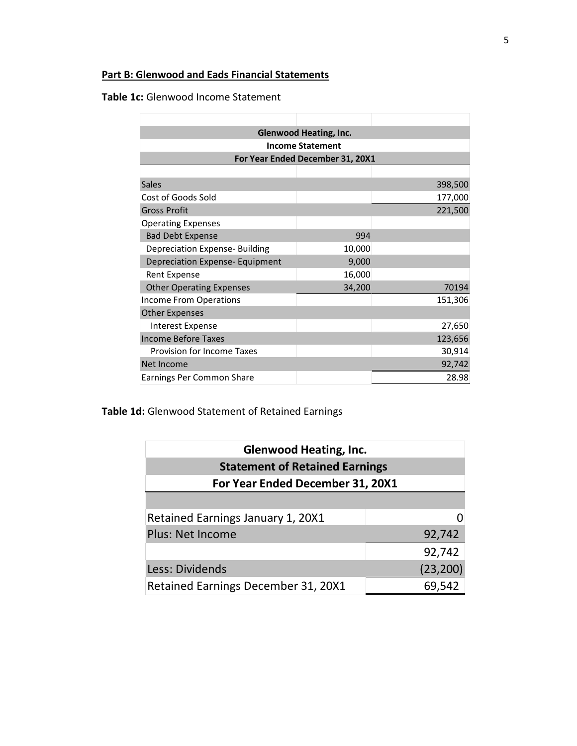## **Part B: Glenwood and Eads Financial Statements**

**Table 1c:** Glenwood Income Statement

| <b>Glenwood Heating, Inc.</b>          |        |         |  |  |  |  |  |  |  |  |  |  |
|----------------------------------------|--------|---------|--|--|--|--|--|--|--|--|--|--|
| <b>Income Statement</b>                |        |         |  |  |  |  |  |  |  |  |  |  |
| For Year Ended December 31, 20X1       |        |         |  |  |  |  |  |  |  |  |  |  |
|                                        |        |         |  |  |  |  |  |  |  |  |  |  |
| <b>Sales</b>                           |        | 398,500 |  |  |  |  |  |  |  |  |  |  |
| Cost of Goods Sold                     |        | 177,000 |  |  |  |  |  |  |  |  |  |  |
| <b>Gross Profit</b>                    |        | 221,500 |  |  |  |  |  |  |  |  |  |  |
| <b>Operating Expenses</b>              |        |         |  |  |  |  |  |  |  |  |  |  |
| <b>Bad Debt Expense</b>                | 994    |         |  |  |  |  |  |  |  |  |  |  |
| <b>Depreciation Expense- Building</b>  | 10,000 |         |  |  |  |  |  |  |  |  |  |  |
| <b>Depreciation Expense- Equipment</b> | 9,000  |         |  |  |  |  |  |  |  |  |  |  |
| <b>Rent Expense</b>                    | 16,000 |         |  |  |  |  |  |  |  |  |  |  |
| <b>Other Operating Expenses</b>        | 34,200 | 70194   |  |  |  |  |  |  |  |  |  |  |
| <b>Income From Operations</b>          |        | 151,306 |  |  |  |  |  |  |  |  |  |  |
| <b>Other Expenses</b>                  |        |         |  |  |  |  |  |  |  |  |  |  |
| <b>Interest Expense</b>                |        | 27,650  |  |  |  |  |  |  |  |  |  |  |
| <b>Income Before Taxes</b>             |        | 123,656 |  |  |  |  |  |  |  |  |  |  |
| Provision for Income Taxes             |        | 30,914  |  |  |  |  |  |  |  |  |  |  |
| Net Income                             |        | 92,742  |  |  |  |  |  |  |  |  |  |  |
| Earnings Per Common Share              |        | 28.98   |  |  |  |  |  |  |  |  |  |  |

**Table 1d:** Glenwood Statement of Retained Earnings

| <b>Glenwood Heating, Inc.</b>         |           |  |  |  |  |  |  |  |  |  |  |
|---------------------------------------|-----------|--|--|--|--|--|--|--|--|--|--|
| <b>Statement of Retained Earnings</b> |           |  |  |  |  |  |  |  |  |  |  |
| For Year Ended December 31, 20X1      |           |  |  |  |  |  |  |  |  |  |  |
|                                       |           |  |  |  |  |  |  |  |  |  |  |
| Retained Earnings January 1, 20X1     |           |  |  |  |  |  |  |  |  |  |  |
| <b>Plus: Net Income</b>               | 92,742    |  |  |  |  |  |  |  |  |  |  |
|                                       | 92,742    |  |  |  |  |  |  |  |  |  |  |
| Less: Dividends                       | (23, 200) |  |  |  |  |  |  |  |  |  |  |
| Retained Earnings December 31, 20X1   | 69,542    |  |  |  |  |  |  |  |  |  |  |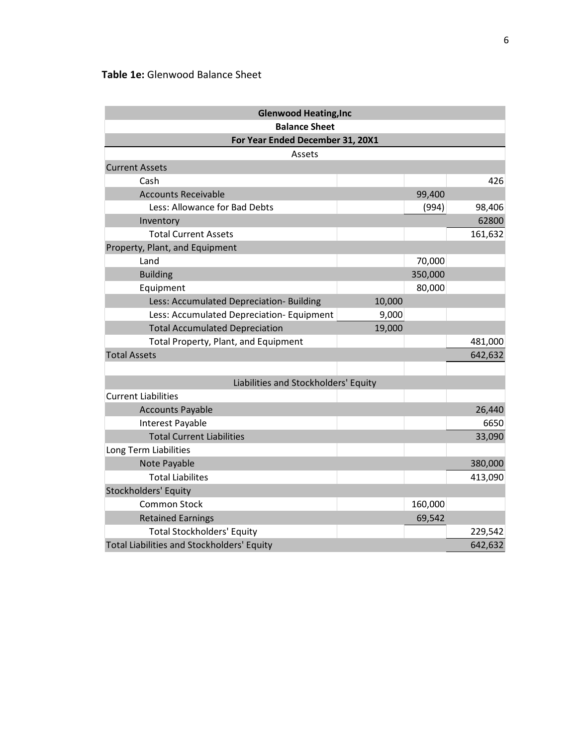## **Table 1e:** Glenwood Balance Sheet

| <b>Glenwood Heating, Inc</b>                      |        |         |         |  |  |  |  |  |  |  |  |  |  |
|---------------------------------------------------|--------|---------|---------|--|--|--|--|--|--|--|--|--|--|
| <b>Balance Sheet</b>                              |        |         |         |  |  |  |  |  |  |  |  |  |  |
| For Year Ended December 31, 20X1                  |        |         |         |  |  |  |  |  |  |  |  |  |  |
| Assets                                            |        |         |         |  |  |  |  |  |  |  |  |  |  |
| <b>Current Assets</b>                             |        |         |         |  |  |  |  |  |  |  |  |  |  |
| Cash                                              |        |         | 426     |  |  |  |  |  |  |  |  |  |  |
| <b>Accounts Receivable</b>                        |        | 99,400  |         |  |  |  |  |  |  |  |  |  |  |
| Less: Allowance for Bad Debts                     |        | (994)   | 98,406  |  |  |  |  |  |  |  |  |  |  |
| Inventory                                         |        |         | 62800   |  |  |  |  |  |  |  |  |  |  |
| <b>Total Current Assets</b>                       |        |         | 161,632 |  |  |  |  |  |  |  |  |  |  |
| Property, Plant, and Equipment                    |        |         |         |  |  |  |  |  |  |  |  |  |  |
| Land                                              |        | 70,000  |         |  |  |  |  |  |  |  |  |  |  |
| <b>Building</b>                                   |        | 350,000 |         |  |  |  |  |  |  |  |  |  |  |
| Equipment                                         |        | 80,000  |         |  |  |  |  |  |  |  |  |  |  |
| Less: Accumulated Depreciation- Building          | 10,000 |         |         |  |  |  |  |  |  |  |  |  |  |
| Less: Accumulated Depreciation- Equipment         | 9,000  |         |         |  |  |  |  |  |  |  |  |  |  |
| <b>Total Accumulated Depreciation</b>             | 19,000 |         |         |  |  |  |  |  |  |  |  |  |  |
| Total Property, Plant, and Equipment              |        |         | 481,000 |  |  |  |  |  |  |  |  |  |  |
| <b>Total Assets</b>                               |        |         | 642,632 |  |  |  |  |  |  |  |  |  |  |
|                                                   |        |         |         |  |  |  |  |  |  |  |  |  |  |
| Liabilities and Stockholders' Equity              |        |         |         |  |  |  |  |  |  |  |  |  |  |
| <b>Current Liabilities</b>                        |        |         |         |  |  |  |  |  |  |  |  |  |  |
| <b>Accounts Payable</b>                           |        |         | 26,440  |  |  |  |  |  |  |  |  |  |  |
| Interest Payable                                  |        |         | 6650    |  |  |  |  |  |  |  |  |  |  |
| <b>Total Current Liabilities</b>                  |        |         | 33,090  |  |  |  |  |  |  |  |  |  |  |
| Long Term Liabilities                             |        |         |         |  |  |  |  |  |  |  |  |  |  |
| Note Payable                                      |        |         | 380,000 |  |  |  |  |  |  |  |  |  |  |
| <b>Total Liabilites</b>                           |        |         | 413,090 |  |  |  |  |  |  |  |  |  |  |
| Stockholders' Equity                              |        |         |         |  |  |  |  |  |  |  |  |  |  |
| <b>Common Stock</b>                               |        | 160,000 |         |  |  |  |  |  |  |  |  |  |  |
| <b>Retained Earnings</b>                          |        | 69,542  |         |  |  |  |  |  |  |  |  |  |  |
| <b>Total Stockholders' Equity</b>                 |        |         | 229,542 |  |  |  |  |  |  |  |  |  |  |
| <b>Total Liabilities and Stockholders' Equity</b> |        |         | 642,632 |  |  |  |  |  |  |  |  |  |  |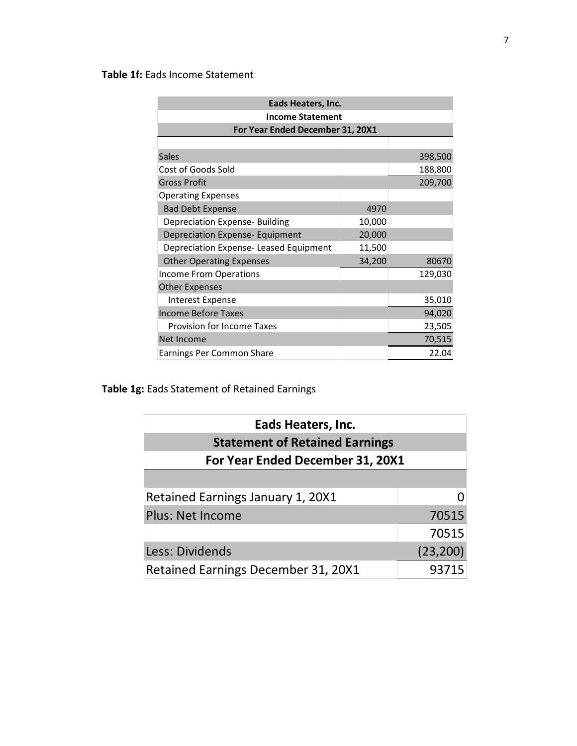## **Table 1f:** Eads Income Statement

| Eads Heaters, Inc.                     |        |         |  |  |  |  |  |  |  |  |  |  |
|----------------------------------------|--------|---------|--|--|--|--|--|--|--|--|--|--|
| <b>Income Statement</b>                |        |         |  |  |  |  |  |  |  |  |  |  |
| For Year Ended December 31, 20X1       |        |         |  |  |  |  |  |  |  |  |  |  |
|                                        |        |         |  |  |  |  |  |  |  |  |  |  |
| <b>Sales</b>                           |        | 398,500 |  |  |  |  |  |  |  |  |  |  |
| Cost of Goods Sold                     |        | 188,800 |  |  |  |  |  |  |  |  |  |  |
| <b>Gross Profit</b>                    |        | 209,700 |  |  |  |  |  |  |  |  |  |  |
| <b>Operating Expenses</b>              |        |         |  |  |  |  |  |  |  |  |  |  |
| <b>Bad Debt Expense</b>                | 4970   |         |  |  |  |  |  |  |  |  |  |  |
| <b>Depreciation Expense- Building</b>  | 10,000 |         |  |  |  |  |  |  |  |  |  |  |
| Depreciation Expense- Equipment        | 20,000 |         |  |  |  |  |  |  |  |  |  |  |
| Depreciation Expense- Leased Equipment | 11,500 |         |  |  |  |  |  |  |  |  |  |  |
| <b>Other Operating Expenses</b>        | 34,200 | 80670   |  |  |  |  |  |  |  |  |  |  |
| Income From Operations                 |        | 129,030 |  |  |  |  |  |  |  |  |  |  |
| <b>Other Expenses</b>                  |        |         |  |  |  |  |  |  |  |  |  |  |
| <b>Interest Expense</b>                |        | 35,010  |  |  |  |  |  |  |  |  |  |  |
| <b>Income Before Taxes</b>             |        | 94,020  |  |  |  |  |  |  |  |  |  |  |
| <b>Provision for Income Taxes</b>      |        | 23,505  |  |  |  |  |  |  |  |  |  |  |
| Net Income                             |        | 70,515  |  |  |  |  |  |  |  |  |  |  |
| Earnings Per Common Share              |        | 22.04   |  |  |  |  |  |  |  |  |  |  |

## **Table 1g:** Eads Statement of Retained Earnings

| Eads Heaters, Inc.                    |           |  |  |  |  |  |  |  |  |  |  |
|---------------------------------------|-----------|--|--|--|--|--|--|--|--|--|--|
| <b>Statement of Retained Earnings</b> |           |  |  |  |  |  |  |  |  |  |  |
| For Year Ended December 31, 20X1      |           |  |  |  |  |  |  |  |  |  |  |
|                                       |           |  |  |  |  |  |  |  |  |  |  |
| Retained Earnings January 1, 20X1     |           |  |  |  |  |  |  |  |  |  |  |
| <b>Plus: Net Income</b>               | 70515     |  |  |  |  |  |  |  |  |  |  |
|                                       | 70515     |  |  |  |  |  |  |  |  |  |  |
| Less: Dividends                       | (23, 200) |  |  |  |  |  |  |  |  |  |  |
| Retained Earnings December 31, 20X1   | 93715     |  |  |  |  |  |  |  |  |  |  |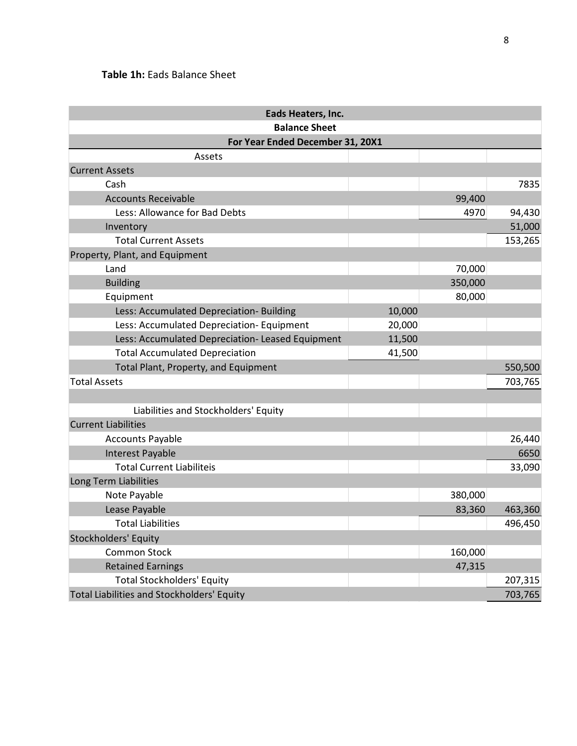## **Table 1h:** Eads Balance Sheet

| Eads Heaters, Inc.                                |        |         |         |  |  |  |  |  |  |  |  |  |  |
|---------------------------------------------------|--------|---------|---------|--|--|--|--|--|--|--|--|--|--|
| <b>Balance Sheet</b>                              |        |         |         |  |  |  |  |  |  |  |  |  |  |
| For Year Ended December 31, 20X1                  |        |         |         |  |  |  |  |  |  |  |  |  |  |
| Assets                                            |        |         |         |  |  |  |  |  |  |  |  |  |  |
| <b>Current Assets</b>                             |        |         |         |  |  |  |  |  |  |  |  |  |  |
| Cash                                              |        |         | 7835    |  |  |  |  |  |  |  |  |  |  |
| <b>Accounts Receivable</b>                        |        | 99,400  |         |  |  |  |  |  |  |  |  |  |  |
| Less: Allowance for Bad Debts                     |        | 4970    | 94,430  |  |  |  |  |  |  |  |  |  |  |
| Inventory                                         |        |         | 51,000  |  |  |  |  |  |  |  |  |  |  |
| <b>Total Current Assets</b>                       |        |         | 153,265 |  |  |  |  |  |  |  |  |  |  |
| Property, Plant, and Equipment                    |        |         |         |  |  |  |  |  |  |  |  |  |  |
| Land                                              |        | 70,000  |         |  |  |  |  |  |  |  |  |  |  |
| <b>Building</b>                                   |        | 350,000 |         |  |  |  |  |  |  |  |  |  |  |
| Equipment                                         |        | 80,000  |         |  |  |  |  |  |  |  |  |  |  |
| Less: Accumulated Depreciation- Building          | 10,000 |         |         |  |  |  |  |  |  |  |  |  |  |
| Less: Accumulated Depreciation- Equipment         | 20,000 |         |         |  |  |  |  |  |  |  |  |  |  |
| Less: Accumulated Depreciation- Leased Equipment  | 11,500 |         |         |  |  |  |  |  |  |  |  |  |  |
| <b>Total Accumulated Depreciation</b>             | 41,500 |         |         |  |  |  |  |  |  |  |  |  |  |
| Total Plant, Property, and Equipment              |        |         | 550,500 |  |  |  |  |  |  |  |  |  |  |
| <b>Total Assets</b>                               |        |         | 703,765 |  |  |  |  |  |  |  |  |  |  |
|                                                   |        |         |         |  |  |  |  |  |  |  |  |  |  |
| Liabilities and Stockholders' Equity              |        |         |         |  |  |  |  |  |  |  |  |  |  |
| <b>Current Liabilities</b>                        |        |         |         |  |  |  |  |  |  |  |  |  |  |
| <b>Accounts Payable</b>                           |        |         | 26,440  |  |  |  |  |  |  |  |  |  |  |
| <b>Interest Payable</b>                           |        |         | 6650    |  |  |  |  |  |  |  |  |  |  |
| <b>Total Current Liabiliteis</b>                  |        |         | 33,090  |  |  |  |  |  |  |  |  |  |  |
| Long Term Liabilities                             |        |         |         |  |  |  |  |  |  |  |  |  |  |
| Note Payable                                      |        | 380,000 |         |  |  |  |  |  |  |  |  |  |  |
| Lease Payable                                     |        | 83,360  | 463,360 |  |  |  |  |  |  |  |  |  |  |
| <b>Total Liabilities</b>                          |        |         | 496,450 |  |  |  |  |  |  |  |  |  |  |
| <b>Stockholders' Equity</b>                       |        |         |         |  |  |  |  |  |  |  |  |  |  |
| <b>Common Stock</b>                               |        | 160,000 |         |  |  |  |  |  |  |  |  |  |  |
| <b>Retained Earnings</b>                          |        | 47,315  |         |  |  |  |  |  |  |  |  |  |  |
| <b>Total Stockholders' Equity</b>                 |        |         | 207,315 |  |  |  |  |  |  |  |  |  |  |
| <b>Total Liabilities and Stockholders' Equity</b> |        |         | 703,765 |  |  |  |  |  |  |  |  |  |  |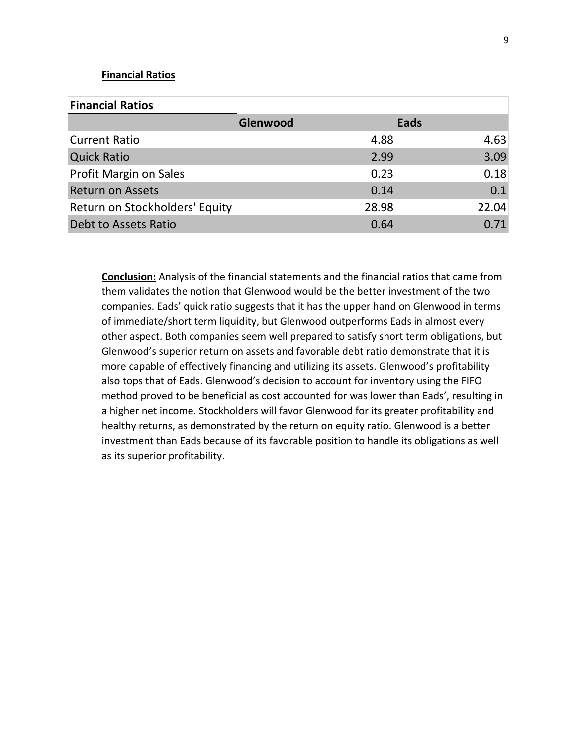#### **Financial Ratios**

| <b>Financial Ratios</b>        |          |       |       |
|--------------------------------|----------|-------|-------|
|                                | Glenwood |       | Eads  |
| <b>Current Ratio</b>           |          | 4.88  | 4.63  |
| <b>Quick Ratio</b>             |          | 2.99  | 3.09  |
| Profit Margin on Sales         |          | 0.23  | 0.18  |
| <b>Return on Assets</b>        |          | 0.14  | 0.1   |
| Return on Stockholders' Equity |          | 28.98 | 22.04 |
| Debt to Assets Ratio           |          | 0.64  | 0.71  |

**Conclusion:** Analysis of the financial statements and the financial ratios that came from them validates the notion that Glenwood would be the better investment of the two companies. Eads' quick ratio suggests that it has the upper hand on Glenwood in terms of immediate/short term liquidity, but Glenwood outperforms Eads in almost every other aspect. Both companies seem well prepared to satisfy short term obligations, but Glenwood's superior return on assets and favorable debt ratio demonstrate that it is more capable of effectively financing and utilizing its assets. Glenwood's profitability also tops that of Eads. Glenwood's decision to account for inventory using the FIFO method proved to be beneficial as cost accounted for was lower than Eads', resulting in a higher net income. Stockholders will favor Glenwood for its greater profitability and healthy returns, as demonstrated by the return on equity ratio. Glenwood is a better investment than Eads because of its favorable position to handle its obligations as well as its superior profitability.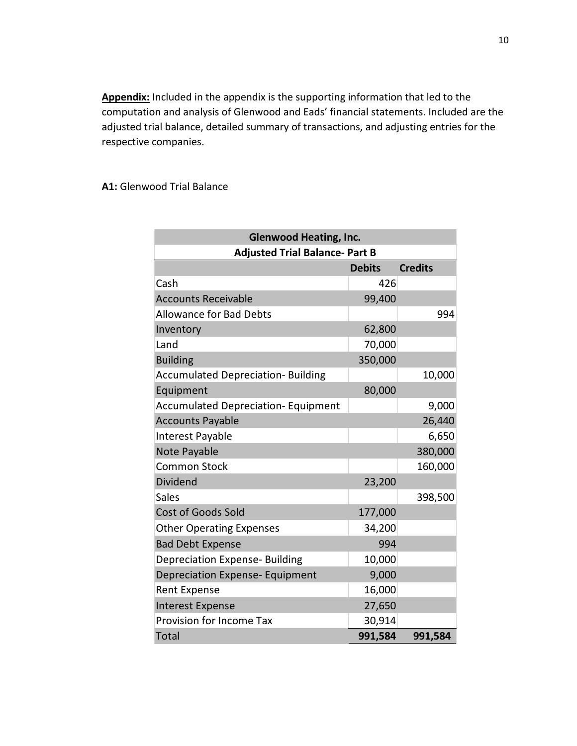**Appendix:** Included in the appendix is the supporting information that led to the computation and analysis of Glenwood and Eads' financial statements. Included are the adjusted trial balance, detailed summary of transactions, and adjusting entries for the respective companies.

### **A1:** Glenwood Trial Balance

| <b>Glenwood Heating, Inc.</b>              |               |                |  |  |  |  |  |  |  |  |
|--------------------------------------------|---------------|----------------|--|--|--|--|--|--|--|--|
| <b>Adjusted Trial Balance- Part B</b>      |               |                |  |  |  |  |  |  |  |  |
|                                            | <b>Debits</b> | <b>Credits</b> |  |  |  |  |  |  |  |  |
| Cash                                       | 426           |                |  |  |  |  |  |  |  |  |
| <b>Accounts Receivable</b>                 | 99,400        |                |  |  |  |  |  |  |  |  |
| <b>Allowance for Bad Debts</b>             |               | 994            |  |  |  |  |  |  |  |  |
| Inventory                                  | 62,800        |                |  |  |  |  |  |  |  |  |
| Land                                       | 70,000        |                |  |  |  |  |  |  |  |  |
| <b>Building</b>                            | 350,000       |                |  |  |  |  |  |  |  |  |
| <b>Accumulated Depreciation- Building</b>  |               | 10,000         |  |  |  |  |  |  |  |  |
| Equipment                                  | 80,000        |                |  |  |  |  |  |  |  |  |
| <b>Accumulated Depreciation- Equipment</b> |               | 9,000          |  |  |  |  |  |  |  |  |
| <b>Accounts Payable</b>                    |               | 26,440         |  |  |  |  |  |  |  |  |
| Interest Payable                           |               | 6,650          |  |  |  |  |  |  |  |  |
| Note Payable                               |               | 380,000        |  |  |  |  |  |  |  |  |
| <b>Common Stock</b>                        |               | 160,000        |  |  |  |  |  |  |  |  |
| <b>Dividend</b>                            | 23,200        |                |  |  |  |  |  |  |  |  |
| <b>Sales</b>                               |               | 398,500        |  |  |  |  |  |  |  |  |
| Cost of Goods Sold                         | 177,000       |                |  |  |  |  |  |  |  |  |
| <b>Other Operating Expenses</b>            | 34,200        |                |  |  |  |  |  |  |  |  |
| <b>Bad Debt Expense</b>                    | 994           |                |  |  |  |  |  |  |  |  |
| <b>Depreciation Expense- Building</b>      | 10,000        |                |  |  |  |  |  |  |  |  |
| <b>Depreciation Expense- Equipment</b>     | 9,000         |                |  |  |  |  |  |  |  |  |
| <b>Rent Expense</b>                        | 16,000        |                |  |  |  |  |  |  |  |  |
| <b>Interest Expense</b>                    | 27,650        |                |  |  |  |  |  |  |  |  |
| Provision for Income Tax                   | 30,914        |                |  |  |  |  |  |  |  |  |
| <b>Total</b>                               | 991,584       | 991,584        |  |  |  |  |  |  |  |  |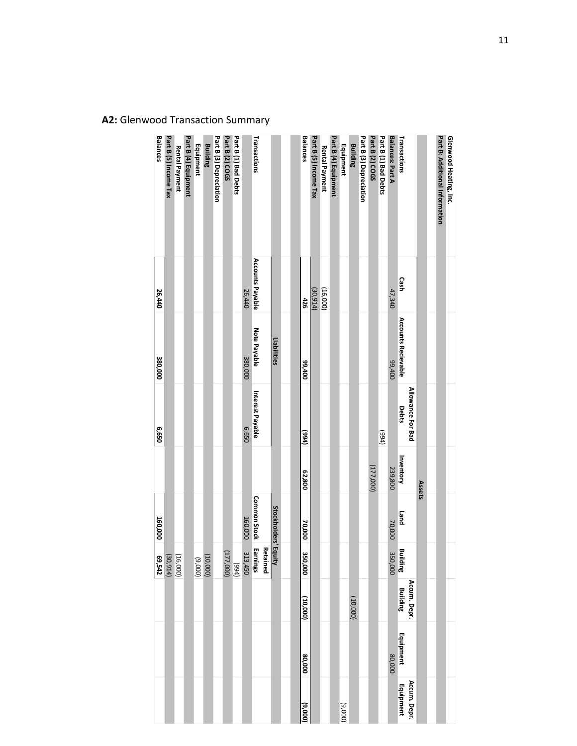| <b>Balances</b> |                       |                |                      |           | <b>Building</b> |                         | Part B (2) COGS |                      |         | Transactions         |                      |  | <b>Balances</b> |                       |                |                      |           | <b>Building</b> |                         | Part B (2) COGS |                      |                  | Transactions               |                   |        |                                       |                        |
|-----------------|-----------------------|----------------|----------------------|-----------|-----------------|-------------------------|-----------------|----------------------|---------|----------------------|----------------------|--|-----------------|-----------------------|----------------|----------------------|-----------|-----------------|-------------------------|-----------------|----------------------|------------------|----------------------------|-------------------|--------|---------------------------------------|------------------------|
|                 | Part B (5) Income Tax | Rental Payment | Part B (4) Equipment | Equipment |                 | Part B (3) Depreciation |                 | Part B (1) Bad Debts |         |                      |                      |  |                 | Part B (5) Income Tax | Rental Payment | Part B (4) Equipment | Equipment |                 | Part B (3) Depreciation |                 | Part B (1) Bad Debts | Balances: Part A |                            |                   |        | <b>Part B: Additional Information</b> | Glenwood Heating, Inc. |
| 26,440          |                       |                |                      |           |                 |                         |                 |                      | 26,440  | Accounts Payable     |                      |  | 426             | (30,914)              | (16,000)       |                      |           |                 |                         |                 |                      | 47,340           | Cash                       |                   |        |                                       |                        |
| 380,000         |                       |                |                      |           |                 |                         |                 |                      | 380,000 | Note Payable         | Liabilities          |  | 007'66          |                       |                |                      |           |                 |                         |                 |                      | 007'66           | <b>Accounts Recievable</b> |                   |        |                                       |                        |
| 059'9           |                       |                |                      |           |                 |                         |                 |                      | 059'9   | Interest Payable     |                      |  | (1066)          |                       |                |                      |           |                 |                         |                 | (t66)                |                  | Debts                      | Allowance For Bad |        |                                       |                        |
|                 |                       |                |                      |           |                 |                         |                 |                      |         |                      |                      |  | 62,800          |                       |                |                      |           |                 |                         | (177,000)       |                      | 239,800          | Inventory                  |                   | Assets |                                       |                        |
| 160,000         |                       |                |                      |           |                 |                         |                 |                      | 160,000 | <b>Common Stock</b>  | Stockholders' Equity |  | 70,000          |                       |                |                      |           |                 |                         |                 |                      | 70,000           | <b>Land</b>                |                   |        |                                       |                        |
| 69,542          | (30, 914)             | (16,000)       |                      | (000'6)   | 10,000)         |                         | (177,000)       | (t66)                | 313,450 | Earnings<br>Retained |                      |  | 350,000         |                       |                |                      |           |                 |                         |                 |                      | 350,000          | <b>Building</b>            |                   |        |                                       |                        |
|                 |                       |                |                      |           |                 |                         |                 |                      |         |                      |                      |  | (10,000)        |                       |                |                      |           | (000001)        |                         |                 |                      |                  | <b>Building</b>            | Accum. Depr.      |        |                                       |                        |
|                 |                       |                |                      |           |                 |                         |                 |                      |         |                      |                      |  | 000'08          |                       |                |                      |           |                 |                         |                 |                      | 80,000           | Equipment                  |                   |        |                                       |                        |
|                 |                       |                |                      |           |                 |                         |                 |                      |         |                      |                      |  | (000'6)         |                       |                |                      | (000'6)   |                 |                         |                 |                      |                  | Equipment                  | Accum. Depr.      |        |                                       |                        |

**A2:** Glenwood Transaction Summary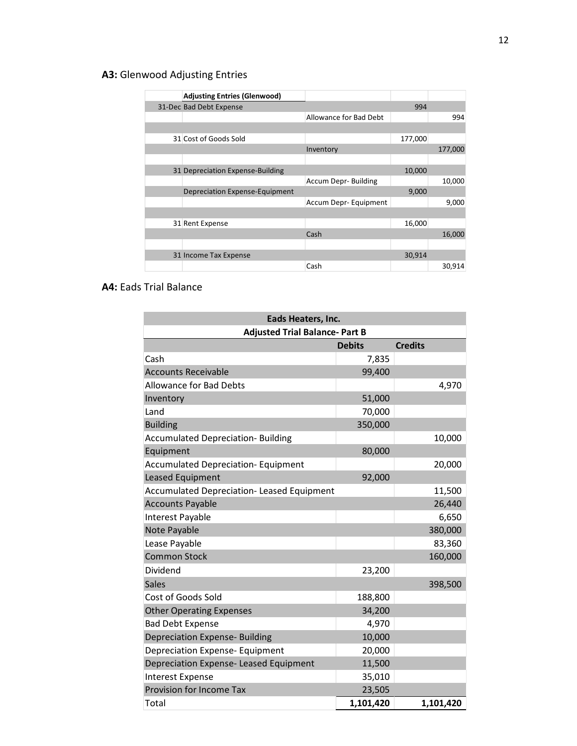## **A3:** Glenwood Adjusting Entries

| <b>Adjusting Entries (Glenwood)</b>   |                            |         |         |
|---------------------------------------|----------------------------|---------|---------|
| 31-Dec Bad Debt Expense               |                            | 994     |         |
|                                       | Allowance for Bad Debt     |         | 994     |
|                                       |                            |         |         |
| 31 Cost of Goods Sold                 |                            | 177,000 |         |
|                                       | Inventory                  |         | 177,000 |
|                                       |                            |         |         |
| 31 Depreciation Expense-Building      |                            | 10,000  |         |
|                                       | <b>Accum Depr-Building</b> |         | 10,000  |
| <b>Depreciation Expense-Equipment</b> |                            | 9,000   |         |
|                                       | Accum Depr-Equipment       |         | 9,000   |
|                                       |                            |         |         |
| 31 Rent Expense                       |                            | 16,000  |         |
|                                       | Cash                       |         | 16,000  |
|                                       |                            |         |         |
| 31 Income Tax Expense                 |                            | 30,914  |         |
|                                       | Cash                       |         | 30,914  |

## **A4:** Eads Trial Balance

| Eads Heaters, Inc.                         |               |                |  |  |  |  |  |
|--------------------------------------------|---------------|----------------|--|--|--|--|--|
| <b>Adjusted Trial Balance- Part B</b>      |               |                |  |  |  |  |  |
|                                            | <b>Debits</b> | <b>Credits</b> |  |  |  |  |  |
| Cash                                       | 7,835         |                |  |  |  |  |  |
| <b>Accounts Receivable</b>                 | 99,400        |                |  |  |  |  |  |
| <b>Allowance for Bad Debts</b>             |               | 4,970          |  |  |  |  |  |
| Inventory                                  | 51,000        |                |  |  |  |  |  |
| Land                                       | 70,000        |                |  |  |  |  |  |
| <b>Building</b>                            | 350,000       |                |  |  |  |  |  |
| <b>Accumulated Depreciation- Building</b>  |               | 10,000         |  |  |  |  |  |
| Equipment                                  | 80,000        |                |  |  |  |  |  |
| <b>Accumulated Depreciation- Equipment</b> |               | 20,000         |  |  |  |  |  |
| Leased Equipment                           | 92,000        |                |  |  |  |  |  |
| Accumulated Depreciation- Leased Equipment |               | 11,500         |  |  |  |  |  |
| <b>Accounts Payable</b>                    |               | 26,440         |  |  |  |  |  |
| Interest Payable                           |               | 6,650          |  |  |  |  |  |
| Note Payable                               |               | 380,000        |  |  |  |  |  |
| Lease Payable                              |               | 83,360         |  |  |  |  |  |
| <b>Common Stock</b>                        |               | 160,000        |  |  |  |  |  |
| Dividend                                   | 23,200        |                |  |  |  |  |  |
| <b>Sales</b>                               |               | 398,500        |  |  |  |  |  |
| Cost of Goods Sold                         | 188,800       |                |  |  |  |  |  |
| <b>Other Operating Expenses</b>            | 34,200        |                |  |  |  |  |  |
| <b>Bad Debt Expense</b>                    | 4,970         |                |  |  |  |  |  |
| <b>Depreciation Expense- Building</b>      | 10,000        |                |  |  |  |  |  |
| <b>Depreciation Expense- Equipment</b>     | 20,000        |                |  |  |  |  |  |
| Depreciation Expense- Leased Equipment     | 11,500        |                |  |  |  |  |  |
| <b>Interest Expense</b>                    | 35,010        |                |  |  |  |  |  |
| Provision for Income Tax                   | 23,505        |                |  |  |  |  |  |
| Total                                      | 1,101,420     | 1,101,420      |  |  |  |  |  |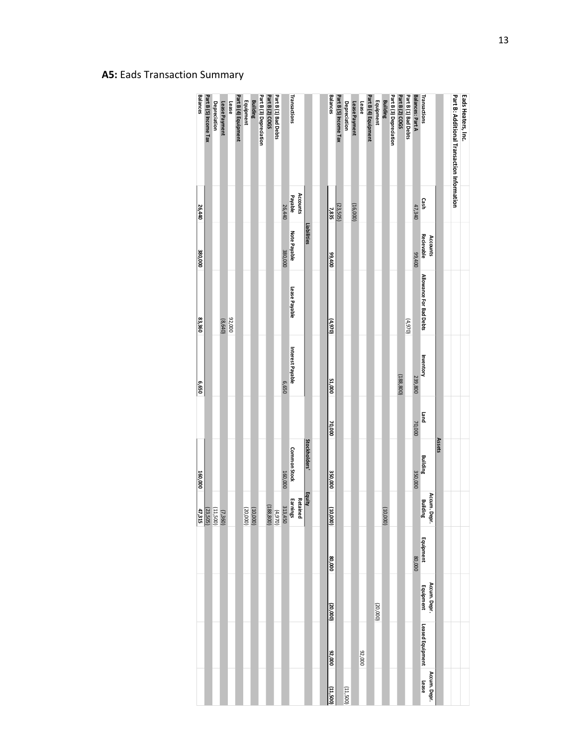| <b>Balances</b> | Part B (5) Income Tax                                                                                                | <b>Depreciation</b> | Lease Payment | Lease  | Part B (4) Equipment | Equipment | <b>Building</b> | Part B (3) Depreciation | Part B (2) COGS | Part B (1) Bad Debts |         | Transactions                                                           |          |                      | <b>Balances</b> | Part B (5) Income Tax | Depreciation | Lease Payment | Lease  | Part B (4) Equipment | Equipment | <b>Building</b> | Part B (3) Depreciation | Part B (2) COGS | Part B (1) Bad Debts | Balances: Part A   | Transactions              |               | Part B: Additional Iransaction Information | Eads Heaters, Inc. |
|-----------------|----------------------------------------------------------------------------------------------------------------------|---------------------|---------------|--------|----------------------|-----------|-----------------|-------------------------|-----------------|----------------------|---------|------------------------------------------------------------------------|----------|----------------------|-----------------|-----------------------|--------------|---------------|--------|----------------------|-----------|-----------------|-------------------------|-----------------|----------------------|--------------------|---------------------------|---------------|--------------------------------------------|--------------------|
| 26,440          |                                                                                                                      |                     |               |        |                      |           |                 |                         |                 |                      | 26,440  | Payable                                                                | Accounts |                      | 7,835           | (23,505)              |              | (16,000)      |        |                      |           |                 |                         |                 |                      | 47,340             | Cash                      |               |                                            |                    |
| 380,000         |                                                                                                                      |                     |               |        |                      |           |                 |                         |                 |                      | 380,000 | Note Payable                                                           |          | Liabilities          | 00%,99          |                       |              |               |        |                      |           |                 |                         |                 |                      | 00 <sup>+</sup> 66 | Recievable<br>Accounts    |               |                                            |                    |
| 83,360          |                                                                                                                      |                     | (8,640)       | 92,000 |                      |           |                 |                         |                 |                      |         | Lease Payable                                                          |          |                      | (4,970)         |                       |              |               |        |                      |           |                 |                         |                 | (970)                |                    | Allowance For Bad Debts   |               |                                            |                    |
| 0599            |                                                                                                                      |                     |               |        |                      |           |                 |                         |                 |                      | 059'9   | Interest Payable                                                       |          |                      | 51,000          |                       |              |               |        |                      |           |                 |                         | (188, 800)      |                      | 239,800            | Inventory                 |               |                                            |                    |
|                 |                                                                                                                      |                     |               |        |                      |           |                 |                         |                 |                      |         |                                                                        |          |                      | 70,000          |                       |              |               |        |                      |           |                 |                         |                 |                      | 70,000             | puen                      |               |                                            |                    |
| 160,000         |                                                                                                                      |                     |               |        |                      |           |                 |                         |                 |                      | 160,000 | <b>Common Stock</b>                                                    |          | <b>Stockholders'</b> | 350,000         |                       |              |               |        |                      |           |                 |                         |                 |                      | 350,000            | Building                  | <b>Assets</b> |                                            |                    |
|                 | $\begin{array}{ c c } \hline (7,360) \\ \hline (11,500) \\ \hline (23,505) \\ \hline (73,505) \\ \hline \end{array}$ |                     |               |        |                      |           | (10,000)        |                         |                 |                      |         | Retained<br>Earnings<br>Earnings<br>Earnings<br>(188,800)<br>(188,800) |          | <b>Equity</b>        | Ξ<br>000(       |                       |              |               |        |                      |           | (10,000)        |                         |                 |                      |                    | Accum. Depr.<br>Building  |               |                                            |                    |
|                 |                                                                                                                      |                     |               |        |                      |           |                 |                         |                 |                      |         |                                                                        |          |                      | 80,000          |                       |              |               |        |                      |           |                 |                         |                 |                      | 000'08             | Equipment                 |               |                                            |                    |
|                 |                                                                                                                      |                     |               |        |                      |           |                 |                         |                 |                      |         |                                                                        |          |                      | (20,000)        |                       |              |               |        |                      | (20,000)  |                 |                         |                 |                      |                    | Accum. Depr.<br>Equipment |               |                                            |                    |
|                 |                                                                                                                      |                     |               |        |                      |           |                 |                         |                 |                      |         |                                                                        |          |                      | 000'26          |                       |              |               | 000'26 |                      |           |                 |                         |                 |                      |                    | Leased Equipment          |               |                                            |                    |
|                 |                                                                                                                      |                     |               |        |                      |           |                 |                         |                 |                      |         |                                                                        |          |                      | (11,500)        |                       | (11,500)     |               |        |                      |           |                 |                         |                 |                      |                    | Accum. Depr.<br>Lease     |               |                                            |                    |

## **A5:** Eads Transaction Summary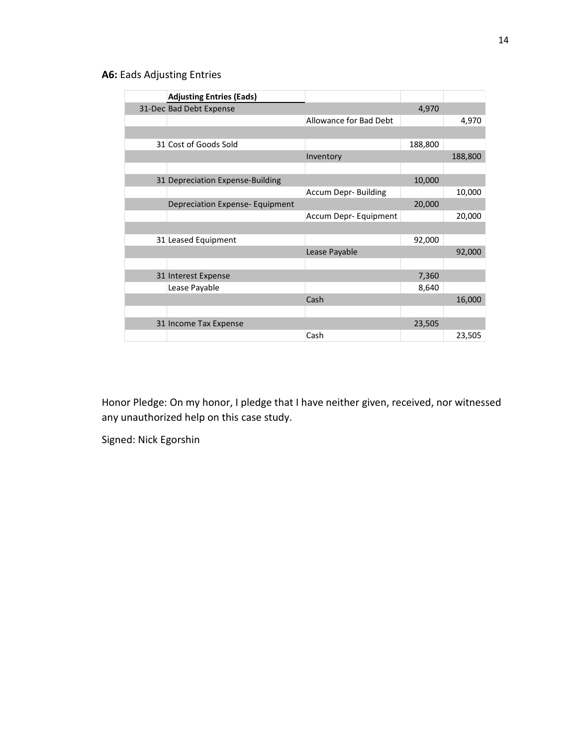## **A6:** Eads Adjusting Entries

| <b>Adjusting Entries (Eads)</b>        |                        |         |         |
|----------------------------------------|------------------------|---------|---------|
| 31-Dec Bad Debt Expense                |                        | 4,970   |         |
|                                        | Allowance for Bad Debt |         | 4,970   |
|                                        |                        |         |         |
| 31 Cost of Goods Sold                  |                        | 188,800 |         |
|                                        | Inventory              |         | 188,800 |
|                                        |                        |         |         |
| 31 Depreciation Expense-Building       |                        | 10,000  |         |
|                                        | Accum Depr- Building   |         | 10,000  |
| <b>Depreciation Expense- Equipment</b> |                        | 20,000  |         |
|                                        | Accum Depr- Equipment  |         | 20,000  |
|                                        |                        |         |         |
| 31 Leased Equipment                    |                        | 92,000  |         |
|                                        | Lease Payable          |         | 92,000  |
|                                        |                        |         |         |
| 31 Interest Expense                    |                        | 7,360   |         |
| Lease Payable                          |                        | 8,640   |         |
|                                        | Cash                   |         | 16,000  |
|                                        |                        |         |         |
| 31 Income Tax Expense                  |                        | 23,505  |         |
|                                        | Cash                   |         | 23,505  |

Honor Pledge: On my honor, I pledge that I have neither given, received, nor witnessed any unauthorized help on this case study.

Signed: Nick Egorshin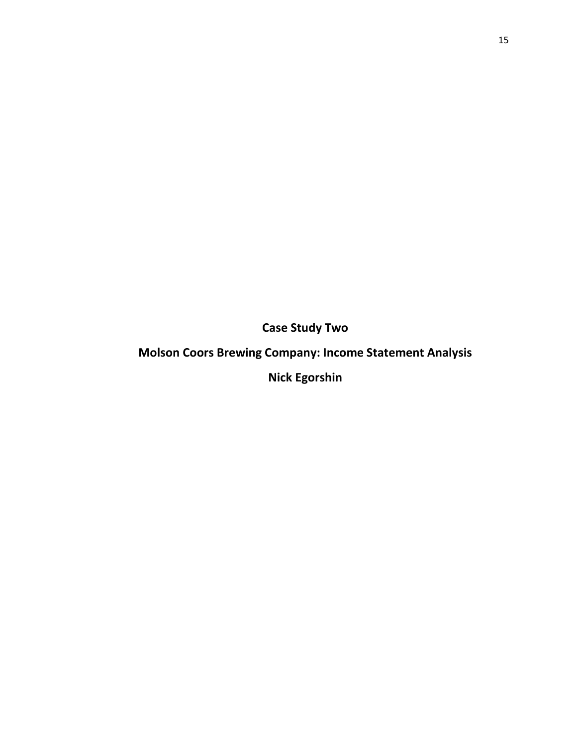**Case Study Two**

# **Molson Coors Brewing Company: Income Statement Analysis**

**Nick Egorshin**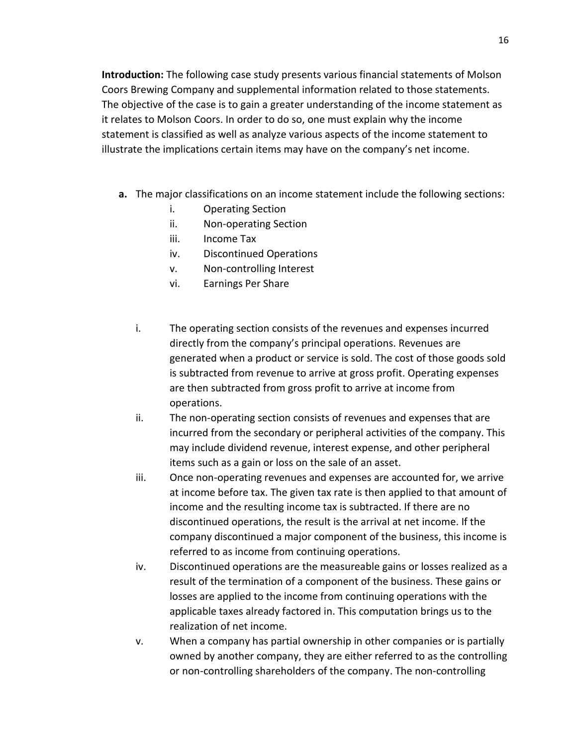**Introduction:** The following case study presents various financial statements of Molson Coors Brewing Company and supplemental information related to those statements. The objective of the case is to gain a greater understanding of the income statement as it relates to Molson Coors. In order to do so, one must explain why the income statement is classified as well as analyze various aspects of the income statement to illustrate the implications certain items may have on the company's net income.

- **a.** The major classifications on an income statement include the following sections:
	- i. Operating Section
	- ii. Non-operating Section
	- iii. Income Tax
	- iv. Discontinued Operations
	- v. Non-controlling Interest
	- vi. Earnings Per Share
	- i. The operating section consists of the revenues and expenses incurred directly from the company's principal operations. Revenues are generated when a product or service is sold. The cost of those goods sold is subtracted from revenue to arrive at gross profit. Operating expenses are then subtracted from gross profit to arrive at income from operations.
	- ii. The non-operating section consists of revenues and expenses that are incurred from the secondary or peripheral activities of the company. This may include dividend revenue, interest expense, and other peripheral items such as a gain or loss on the sale of an asset.
	- iii. Once non-operating revenues and expenses are accounted for, we arrive at income before tax. The given tax rate is then applied to that amount of income and the resulting income tax is subtracted. If there are no discontinued operations, the result is the arrival at net income. If the company discontinued a major component of the business, this income is referred to as income from continuing operations.
	- iv. Discontinued operations are the measureable gains or losses realized as a result of the termination of a component of the business. These gains or losses are applied to the income from continuing operations with the applicable taxes already factored in. This computation brings us to the realization of net income.
	- v. When a company has partial ownership in other companies or is partially owned by another company, they are either referred to as the controlling or non-controlling shareholders of the company. The non-controlling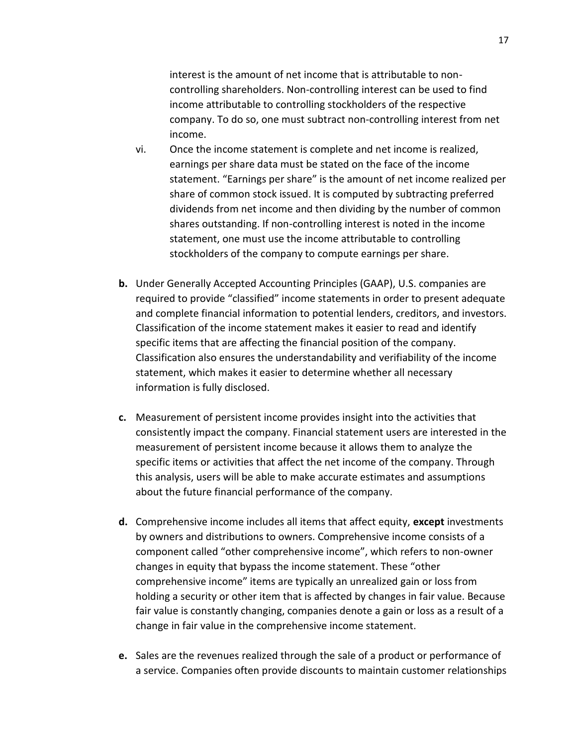interest is the amount of net income that is attributable to noncontrolling shareholders. Non-controlling interest can be used to find income attributable to controlling stockholders of the respective company. To do so, one must subtract non-controlling interest from net income.

- vi. Once the income statement is complete and net income is realized, earnings per share data must be stated on the face of the income statement. "Earnings per share" is the amount of net income realized per share of common stock issued. It is computed by subtracting preferred dividends from net income and then dividing by the number of common shares outstanding. If non-controlling interest is noted in the income statement, one must use the income attributable to controlling stockholders of the company to compute earnings per share.
- **b.** Under Generally Accepted Accounting Principles (GAAP), U.S. companies are required to provide "classified" income statements in order to present adequate and complete financial information to potential lenders, creditors, and investors. Classification of the income statement makes it easier to read and identify specific items that are affecting the financial position of the company. Classification also ensures the understandability and verifiability of the income statement, which makes it easier to determine whether all necessary information is fully disclosed.
- **c.** Measurement of persistent income provides insight into the activities that consistently impact the company. Financial statement users are interested in the measurement of persistent income because it allows them to analyze the specific items or activities that affect the net income of the company. Through this analysis, users will be able to make accurate estimates and assumptions about the future financial performance of the company.
- **d.** Comprehensive income includes all items that affect equity, **except** investments by owners and distributions to owners. Comprehensive income consists of a component called "other comprehensive income", which refers to non-owner changes in equity that bypass the income statement. These "other comprehensive income" items are typically an unrealized gain or loss from holding a security or other item that is affected by changes in fair value. Because fair value is constantly changing, companies denote a gain or loss as a result of a change in fair value in the comprehensive income statement.
- **e.** Sales are the revenues realized through the sale of a product or performance of a service. Companies often provide discounts to maintain customer relationships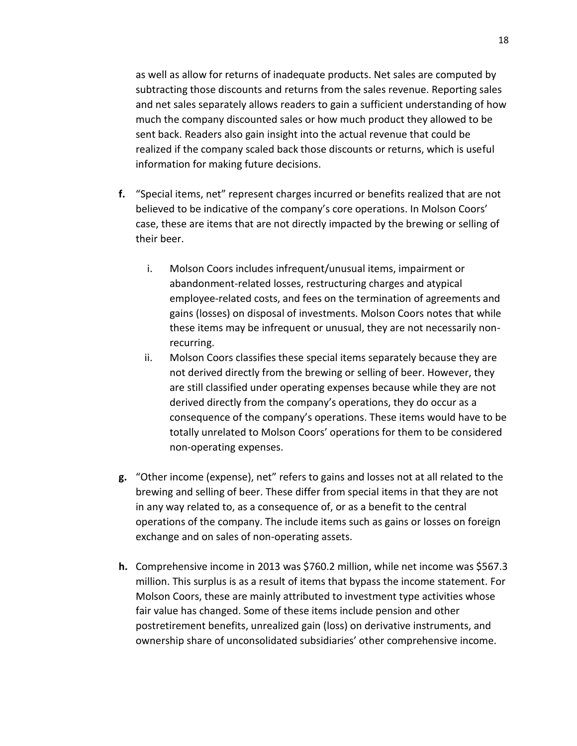as well as allow for returns of inadequate products. Net sales are computed by subtracting those discounts and returns from the sales revenue. Reporting sales and net sales separately allows readers to gain a sufficient understanding of how much the company discounted sales or how much product they allowed to be sent back. Readers also gain insight into the actual revenue that could be realized if the company scaled back those discounts or returns, which is useful information for making future decisions.

- **f.** "Special items, net" represent charges incurred or benefits realized that are not believed to be indicative of the company's core operations. In Molson Coors' case, these are items that are not directly impacted by the brewing or selling of their beer.
	- i. Molson Coors includes infrequent/unusual items, impairment or abandonment-related losses, restructuring charges and atypical employee-related costs, and fees on the termination of agreements and gains (losses) on disposal of investments. Molson Coors notes that while these items may be infrequent or unusual, they are not necessarily nonrecurring.
	- ii. Molson Coors classifies these special items separately because they are not derived directly from the brewing or selling of beer. However, they are still classified under operating expenses because while they are not derived directly from the company's operations, they do occur as a consequence of the company's operations. These items would have to be totally unrelated to Molson Coors' operations for them to be considered non-operating expenses.
- **g.** "Other income (expense), net" refers to gains and losses not at all related to the brewing and selling of beer. These differ from special items in that they are not in any way related to, as a consequence of, or as a benefit to the central operations of the company. The include items such as gains or losses on foreign exchange and on sales of non-operating assets.
- **h.** Comprehensive income in 2013 was \$760.2 million, while net income was \$567.3 million. This surplus is as a result of items that bypass the income statement. For Molson Coors, these are mainly attributed to investment type activities whose fair value has changed. Some of these items include pension and other postretirement benefits, unrealized gain (loss) on derivative instruments, and ownership share of unconsolidated subsidiaries' other comprehensive income.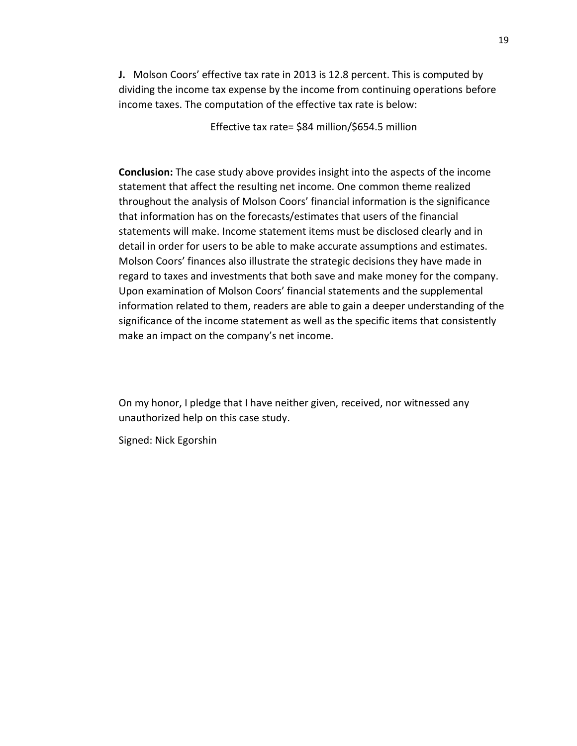**J.** Molson Coors' effective tax rate in 2013 is 12.8 percent. This is computed by dividing the income tax expense by the income from continuing operations before income taxes. The computation of the effective tax rate is below:

Effective tax rate= \$84 million/\$654.5 million

**Conclusion:** The case study above provides insight into the aspects of the income statement that affect the resulting net income. One common theme realized throughout the analysis of Molson Coors' financial information is the significance that information has on the forecasts/estimates that users of the financial statements will make. Income statement items must be disclosed clearly and in detail in order for users to be able to make accurate assumptions and estimates. Molson Coors' finances also illustrate the strategic decisions they have made in regard to taxes and investments that both save and make money for the company. Upon examination of Molson Coors' financial statements and the supplemental information related to them, readers are able to gain a deeper understanding of the significance of the income statement as well as the specific items that consistently make an impact on the company's net income.

On my honor, I pledge that I have neither given, received, nor witnessed any unauthorized help on this case study.

Signed: Nick Egorshin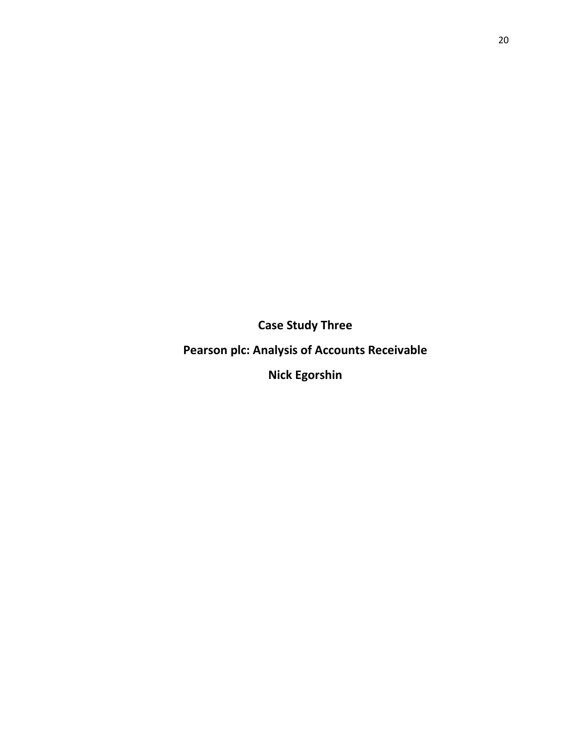**Case Study Three**

**Pearson plc: Analysis of Accounts Receivable**

**Nick Egorshin**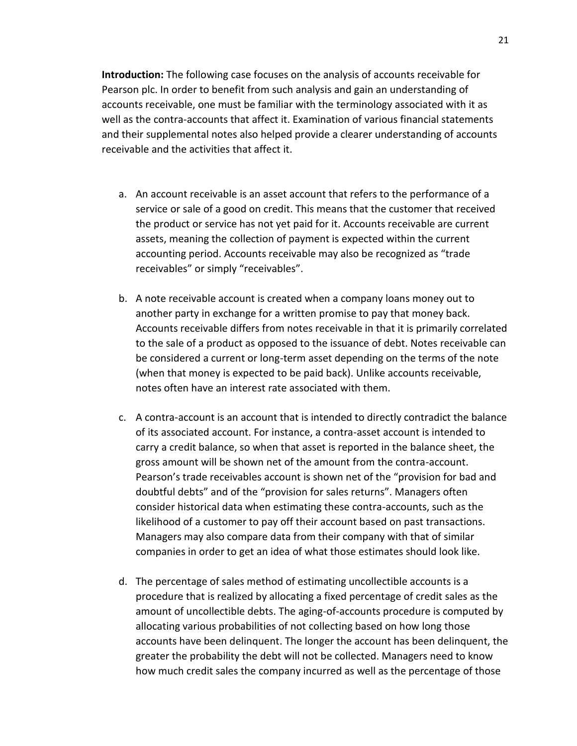**Introduction:** The following case focuses on the analysis of accounts receivable for Pearson plc. In order to benefit from such analysis and gain an understanding of accounts receivable, one must be familiar with the terminology associated with it as well as the contra-accounts that affect it. Examination of various financial statements and their supplemental notes also helped provide a clearer understanding of accounts receivable and the activities that affect it.

- a. An account receivable is an asset account that refers to the performance of a service or sale of a good on credit. This means that the customer that received the product or service has not yet paid for it. Accounts receivable are current assets, meaning the collection of payment is expected within the current accounting period. Accounts receivable may also be recognized as "trade receivables" or simply "receivables".
- b. A note receivable account is created when a company loans money out to another party in exchange for a written promise to pay that money back. Accounts receivable differs from notes receivable in that it is primarily correlated to the sale of a product as opposed to the issuance of debt. Notes receivable can be considered a current or long-term asset depending on the terms of the note (when that money is expected to be paid back). Unlike accounts receivable, notes often have an interest rate associated with them.
- c. A contra-account is an account that is intended to directly contradict the balance of its associated account. For instance, a contra-asset account is intended to carry a credit balance, so when that asset is reported in the balance sheet, the gross amount will be shown net of the amount from the contra-account. Pearson's trade receivables account is shown net of the "provision for bad and doubtful debts" and of the "provision for sales returns". Managers often consider historical data when estimating these contra-accounts, such as the likelihood of a customer to pay off their account based on past transactions. Managers may also compare data from their company with that of similar companies in order to get an idea of what those estimates should look like.
- d. The percentage of sales method of estimating uncollectible accounts is a procedure that is realized by allocating a fixed percentage of credit sales as the amount of uncollectible debts. The aging-of-accounts procedure is computed by allocating various probabilities of not collecting based on how long those accounts have been delinquent. The longer the account has been delinquent, the greater the probability the debt will not be collected. Managers need to know how much credit sales the company incurred as well as the percentage of those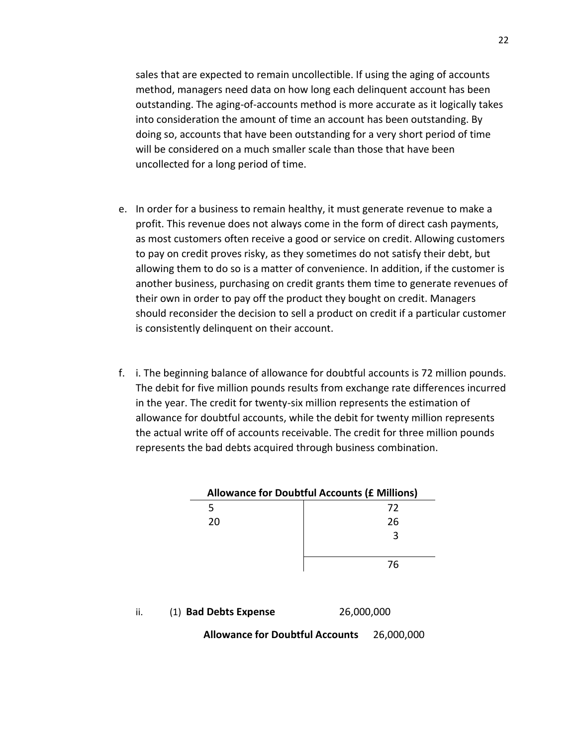sales that are expected to remain uncollectible. If using the aging of accounts method, managers need data on how long each delinquent account has been outstanding. The aging-of-accounts method is more accurate as it logically takes into consideration the amount of time an account has been outstanding. By doing so, accounts that have been outstanding for a very short period of time will be considered on a much smaller scale than those that have been uncollected for a long period of time.

- e. In order for a business to remain healthy, it must generate revenue to make a profit. This revenue does not always come in the form of direct cash payments, as most customers often receive a good or service on credit. Allowing customers to pay on credit proves risky, as they sometimes do not satisfy their debt, but allowing them to do so is a matter of convenience. In addition, if the customer is another business, purchasing on credit grants them time to generate revenues of their own in order to pay off the product they bought on credit. Managers should reconsider the decision to sell a product on credit if a particular customer is consistently delinquent on their account.
- f. i. The beginning balance of allowance for doubtful accounts is 72 million pounds. The debit for five million pounds results from exchange rate differences incurred in the year. The credit for twenty-six million represents the estimation of allowance for doubtful accounts, while the debit for twenty million represents the actual write off of accounts receivable. The credit for three million pounds represents the bad debts acquired through business combination.

| <b>Allowance for Doubtful Accounts (£ Millions)</b> |    |  |  |  |  |  |  |
|-----------------------------------------------------|----|--|--|--|--|--|--|
|                                                     | 72 |  |  |  |  |  |  |
| 20                                                  | 26 |  |  |  |  |  |  |
|                                                     |    |  |  |  |  |  |  |
|                                                     |    |  |  |  |  |  |  |
|                                                     | 76 |  |  |  |  |  |  |
|                                                     |    |  |  |  |  |  |  |

ii. (1) **Bad Debts Expense** 26,000,000

**Allowance for Doubtful Accounts** 26,000,000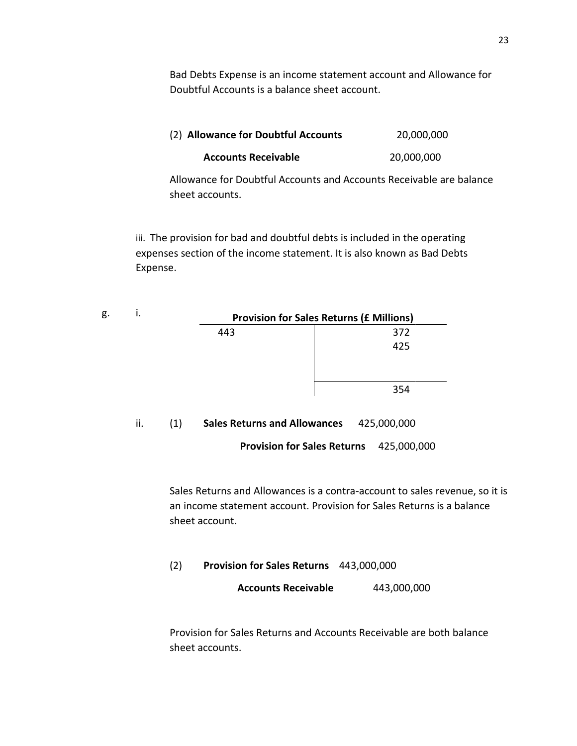Bad Debts Expense is an income statement account and Allowance for Doubtful Accounts is a balance sheet account.

| (2) Allowance for Doubtful Accounts | 20,000,000 |
|-------------------------------------|------------|
| <b>Accounts Receivable</b>          | 20,000,000 |

Allowance for Doubtful Accounts and Accounts Receivable are balance sheet accounts.

iii. The provision for bad and doubtful debts is included in the operating expenses section of the income statement. It is also known as Bad Debts Expense.

| g.<br> |     | <b>Provision for Sales Returns (£ Millions)</b> |
|--------|-----|-------------------------------------------------|
|        | 443 | 372                                             |
|        |     | 425                                             |
|        |     |                                                 |
|        |     | 354                                             |

### ii. (1) **Sales Returns and Allowances** 425,000,000

**Provision for Sales Returns** 425,000,000

Sales Returns and Allowances is a contra-account to sales revenue, so it is an income statement account. Provision for Sales Returns is a balance sheet account.

(2) **Provision for Sales Returns** 443,000,000

**Accounts Receivable** 443,000,000

Provision for Sales Returns and Accounts Receivable are both balance sheet accounts.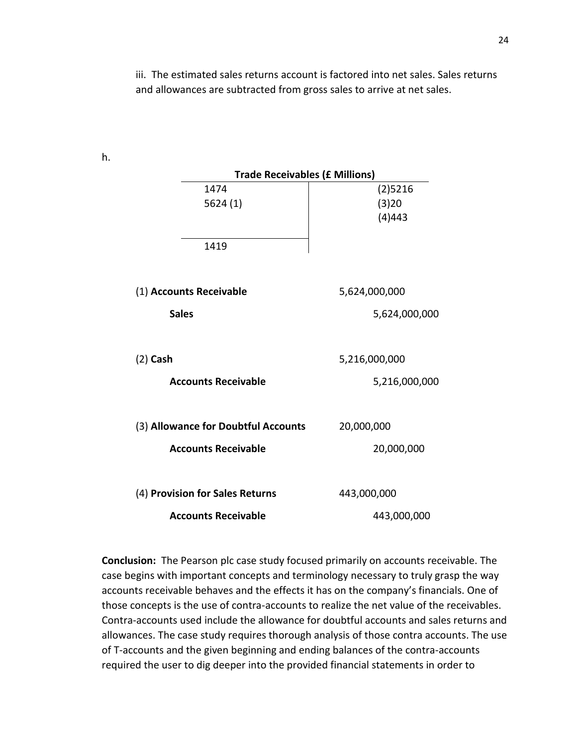iii. The estimated sales returns account is factored into net sales. Sales returns and allowances are subtracted from gross sales to arrive at net sales.

| <b>Trade Receivables (£ Millions)</b> |                               |
|---------------------------------------|-------------------------------|
| 1474<br>5624 (1)                      | $(2)$ 5216<br>(3)20<br>(4)443 |
| 1419                                  |                               |
| (1) Accounts Receivable               | 5,624,000,000                 |
| <b>Sales</b>                          | 5,624,000,000                 |
| $(2)$ Cash                            | 5,216,000,000                 |
| <b>Accounts Receivable</b>            | 5,216,000,000                 |
| (3) Allowance for Doubtful Accounts   | 20,000,000                    |
| <b>Accounts Receivable</b>            | 20,000,000                    |
| (4) Provision for Sales Returns       | 443,000,000                   |
| <b>Accounts Receivable</b>            | 443,000,000                   |

**Conclusion:** The Pearson plc case study focused primarily on accounts receivable. The case begins with important concepts and terminology necessary to truly grasp the way accounts receivable behaves and the effects it has on the company's financials. One of those concepts is the use of contra-accounts to realize the net value of the receivables. Contra-accounts used include the allowance for doubtful accounts and sales returns and allowances. The case study requires thorough analysis of those contra accounts. The use of T-accounts and the given beginning and ending balances of the contra-accounts required the user to dig deeper into the provided financial statements in order to

h.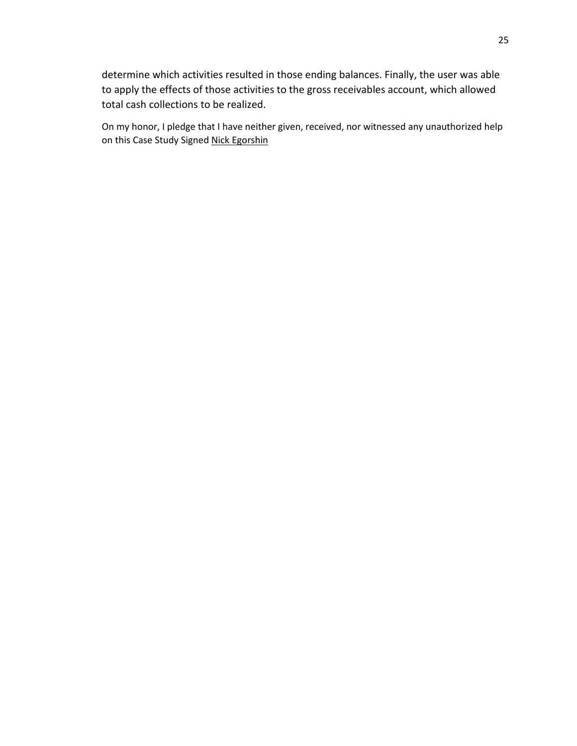determine which activities resulted in those ending balances. Finally, the user was able to apply the effects of those activities to the gross receivables account, which allowed total cash collections to be realized.

On my honor, I pledge that I have neither given, received, nor witnessed any unauthorized help on this Case Study Signed Nick Egorshin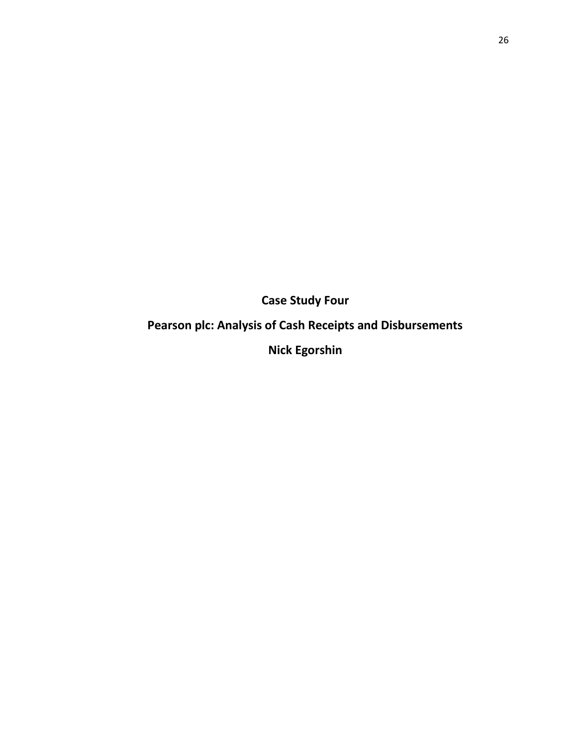**Case Study Four**

**Pearson plc: Analysis of Cash Receipts and Disbursements** 

**Nick Egorshin**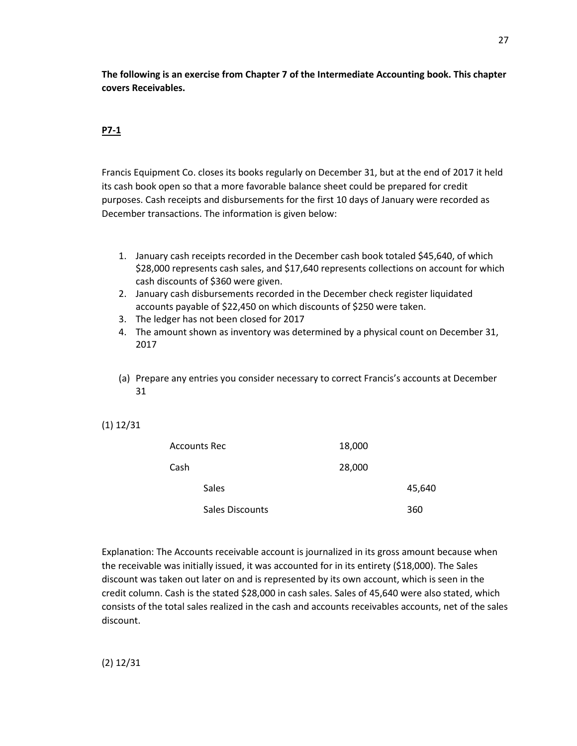**The following is an exercise from Chapter 7 of the Intermediate Accounting book. This chapter covers Receivables.** 

## **P7-1**

Francis Equipment Co. closes its books regularly on December 31, but at the end of 2017 it held its cash book open so that a more favorable balance sheet could be prepared for credit purposes. Cash receipts and disbursements for the first 10 days of January were recorded as December transactions. The information is given below:

- 1. January cash receipts recorded in the December cash book totaled \$45,640, of which \$28,000 represents cash sales, and \$17,640 represents collections on account for which cash discounts of \$360 were given.
- 2. January cash disbursements recorded in the December check register liquidated accounts payable of \$22,450 on which discounts of \$250 were taken.
- 3. The ledger has not been closed for 2017
- 4. The amount shown as inventory was determined by a physical count on December 31, 2017
- (a) Prepare any entries you consider necessary to correct Francis's accounts at December 31
- (1) 12/31

|      | Accounts Rec           | 18,000 |        |
|------|------------------------|--------|--------|
| Cash |                        | 28,000 |        |
|      | <b>Sales</b>           |        | 45,640 |
|      | <b>Sales Discounts</b> |        | 360    |

Explanation: The Accounts receivable account is journalized in its gross amount because when the receivable was initially issued, it was accounted for in its entirety (\$18,000). The Sales discount was taken out later on and is represented by its own account, which is seen in the credit column. Cash is the stated \$28,000 in cash sales. Sales of 45,640 were also stated, which consists of the total sales realized in the cash and accounts receivables accounts, net of the sales discount.

(2) 12/31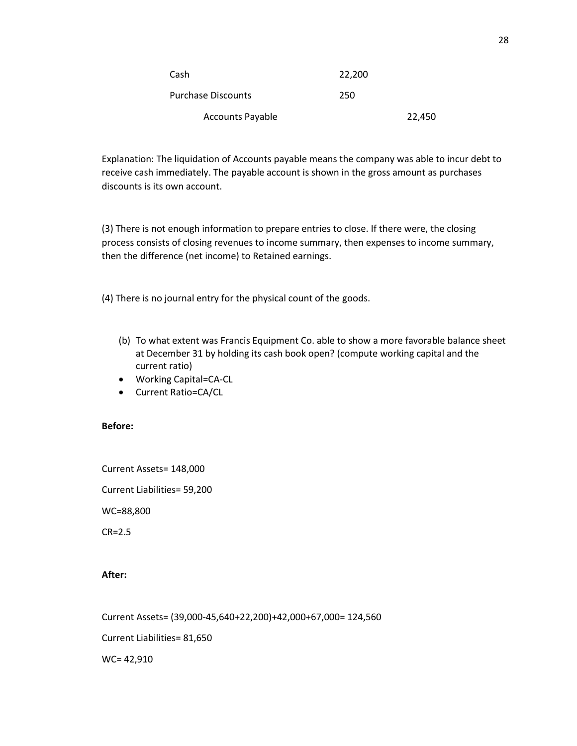| Cash                      | 22,200 |        |
|---------------------------|--------|--------|
| <b>Purchase Discounts</b> | 250    |        |
| <b>Accounts Payable</b>   |        | 22,450 |

Explanation: The liquidation of Accounts payable means the company was able to incur debt to receive cash immediately. The payable account is shown in the gross amount as purchases discounts is its own account.

(3) There is not enough information to prepare entries to close. If there were, the closing process consists of closing revenues to income summary, then expenses to income summary, then the difference (net income) to Retained earnings.

(4) There is no journal entry for the physical count of the goods.

- (b) To what extent was Francis Equipment Co. able to show a more favorable balance sheet at December 31 by holding its cash book open? (compute working capital and the current ratio)
- Working Capital=CA-CL
- Current Ratio=CA/CL

#### **Before:**

Current Assets= 148,000 Current Liabilities= 59,200 WC=88,800 CR=2.5

#### **After:**

Current Assets= (39,000-45,640+22,200)+42,000+67,000= 124,560

Current Liabilities= 81,650

WC= 42,910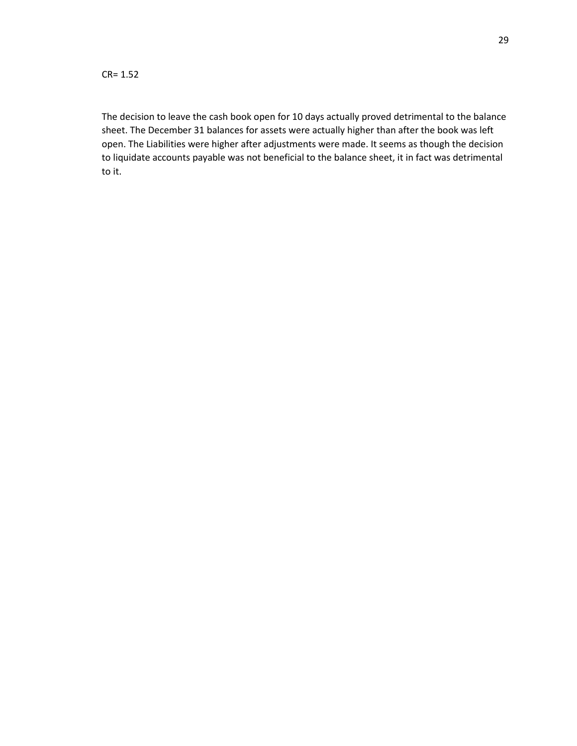The decision to leave the cash book open for 10 days actually proved detrimental to the balance sheet. The December 31 balances for assets were actually higher than after the book was left open. The Liabilities were higher after adjustments were made. It seems as though the decision to liquidate accounts payable was not beneficial to the balance sheet, it in fact was detrimental to it.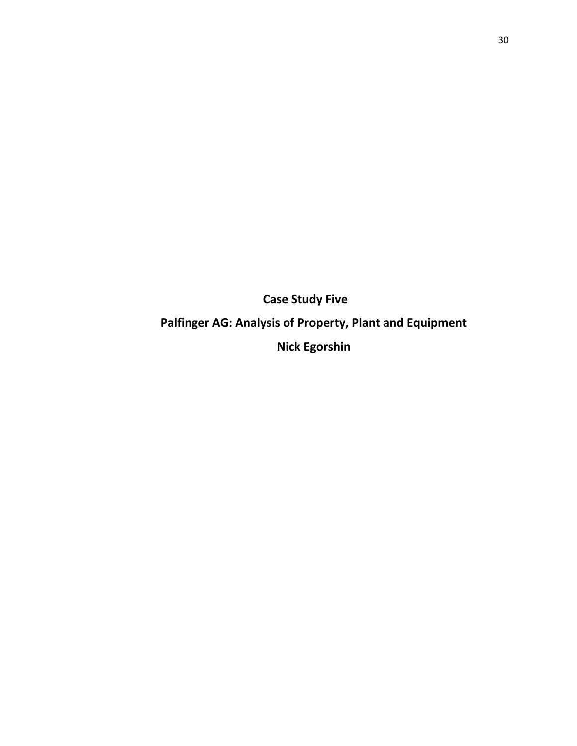**Case Study Five Palfinger AG: Analysis of Property, Plant and Equipment Nick Egorshin**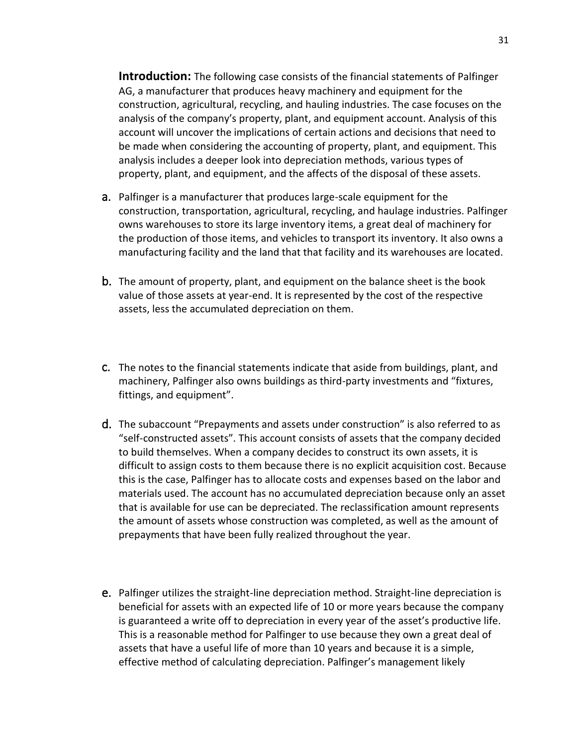**Introduction:** The following case consists of the financial statements of Palfinger AG, a manufacturer that produces heavy machinery and equipment for the construction, agricultural, recycling, and hauling industries. The case focuses on the analysis of the company's property, plant, and equipment account. Analysis of this account will uncover the implications of certain actions and decisions that need to be made when considering the accounting of property, plant, and equipment. This analysis includes a deeper look into depreciation methods, various types of property, plant, and equipment, and the affects of the disposal of these assets.

- a. Palfinger is a manufacturer that produces large-scale equipment for the construction, transportation, agricultural, recycling, and haulage industries. Palfinger owns warehouses to store its large inventory items, a great deal of machinery for the production of those items, and vehicles to transport its inventory. It also owns a manufacturing facility and the land that that facility and its warehouses are located.
- b. The amount of property, plant, and equipment on the balance sheet is the book value of those assets at year-end. It is represented by the cost of the respective assets, less the accumulated depreciation on them.
- c. The notes to the financial statements indicate that aside from buildings, plant, and machinery, Palfinger also owns buildings as third-party investments and "fixtures, fittings, and equipment".
- d. The subaccount "Prepayments and assets under construction" is also referred to as "self-constructed assets". This account consists of assets that the company decided to build themselves. When a company decides to construct its own assets, it is difficult to assign costs to them because there is no explicit acquisition cost. Because this is the case, Palfinger has to allocate costs and expenses based on the labor and materials used. The account has no accumulated depreciation because only an asset that is available for use can be depreciated. The reclassification amount represents the amount of assets whose construction was completed, as well as the amount of prepayments that have been fully realized throughout the year.
- e. Palfinger utilizes the straight-line depreciation method. Straight-line depreciation is beneficial for assets with an expected life of 10 or more years because the company is guaranteed a write off to depreciation in every year of the asset's productive life. This is a reasonable method for Palfinger to use because they own a great deal of assets that have a useful life of more than 10 years and because it is a simple, effective method of calculating depreciation. Palfinger's management likely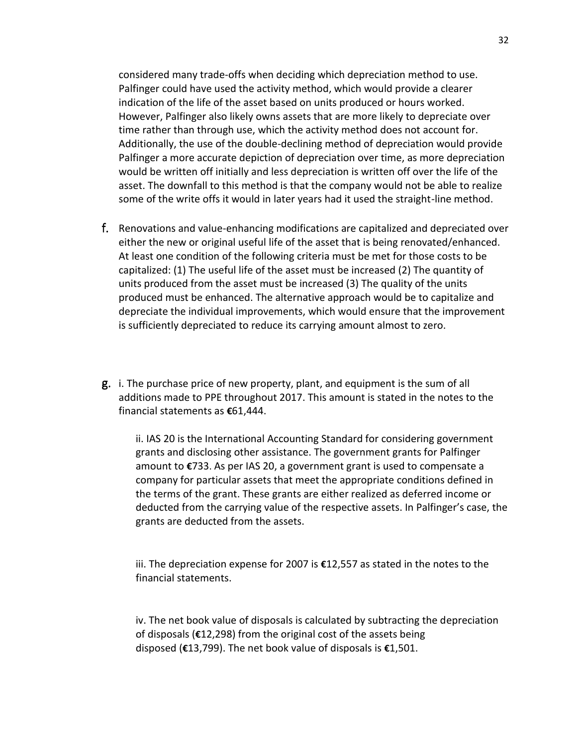considered many trade-offs when deciding which depreciation method to use. Palfinger could have used the activity method, which would provide a clearer indication of the life of the asset based on units produced or hours worked. However, Palfinger also likely owns assets that are more likely to depreciate over time rather than through use, which the activity method does not account for. Additionally, the use of the double-declining method of depreciation would provide Palfinger a more accurate depiction of depreciation over time, as more depreciation would be written off initially and less depreciation is written off over the life of the asset. The downfall to this method is that the company would not be able to realize some of the write offs it would in later years had it used the straight-line method.

- f. Renovations and value-enhancing modifications are capitalized and depreciated over either the new or original useful life of the asset that is being renovated/enhanced. At least one condition of the following criteria must be met for those costs to be capitalized: (1) The useful life of the asset must be increased (2) The quantity of units produced from the asset must be increased (3) The quality of the units produced must be enhanced. The alternative approach would be to capitalize and depreciate the individual improvements, which would ensure that the improvement is sufficiently depreciated to reduce its carrying amount almost to zero.
- g. i. The purchase price of new property, plant, and equipment is the sum of all additions made to PPE throughout 2017. This amount is stated in the notes to the financial statements as **€**61,444.

ii. IAS 20 is the International Accounting Standard for considering government grants and disclosing other assistance. The government grants for Palfinger amount to **€**733. As per IAS 20, a government grant is used to compensate a company for particular assets that meet the appropriate conditions defined in the terms of the grant. These grants are either realized as deferred income or deducted from the carrying value of the respective assets. In Palfinger's case, the grants are deducted from the assets.

iii. The depreciation expense for 2007 is **€**12,557 as stated in the notes to the financial statements.

iv. The net book value of disposals is calculated by subtracting the depreciation of disposals (**€**12,298) from the original cost of the assets being disposed (**€**13,799). The net book value of disposals is **€**1,501.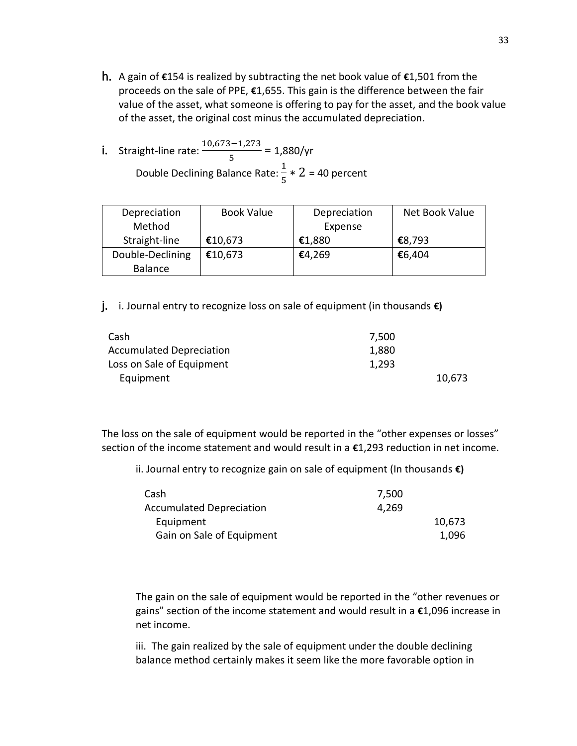h. A gain of **€**154 is realized by subtracting the net book value of **€**1,501 from the proceeds on the sale of PPE, **€**1,655. This gain is the difference between the fair value of the asset, what someone is offering to pay for the asset, and the book value of the asset, the original cost minus the accumulated depreciation.

i. Straight-line rate: 
$$
\frac{10,673 - 1,273}{5} = 1,880/yr
$$
Double Declining Balance Rate:  $\frac{1}{5} \times 2 = 40$  percent

| Depreciation     | <b>Book Value</b> | Depreciation | Net Book Value |
|------------------|-------------------|--------------|----------------|
| Method           |                   | Expense      |                |
| Straight-line    | €10,673           | €1,880       | €8,793         |
| Double-Declining | €10,673           | €4,269       | €6,404         |
| <b>Balance</b>   |                   |              |                |

j. i. Journal entry to recognize loss on sale of equipment (in thousands **€)**

| Cash                            | 7.500 |        |
|---------------------------------|-------|--------|
| <b>Accumulated Depreciation</b> | 1,880 |        |
| Loss on Sale of Equipment       | 1,293 |        |
| Equipment                       |       | 10,673 |

The loss on the sale of equipment would be reported in the "other expenses or losses" section of the income statement and would result in a **€**1,293 reduction in net income.

ii. Journal entry to recognize gain on sale of equipment (In thousands **€)**

| Cash                            | 7.500 |        |
|---------------------------------|-------|--------|
| <b>Accumulated Depreciation</b> | 4.269 |        |
| Equipment                       |       | 10,673 |
| Gain on Sale of Equipment       |       | 1,096  |
|                                 |       |        |

The gain on the sale of equipment would be reported in the "other revenues or gains" section of the income statement and would result in a **€**1,096 increase in net income.

iii. The gain realized by the sale of equipment under the double declining balance method certainly makes it seem like the more favorable option in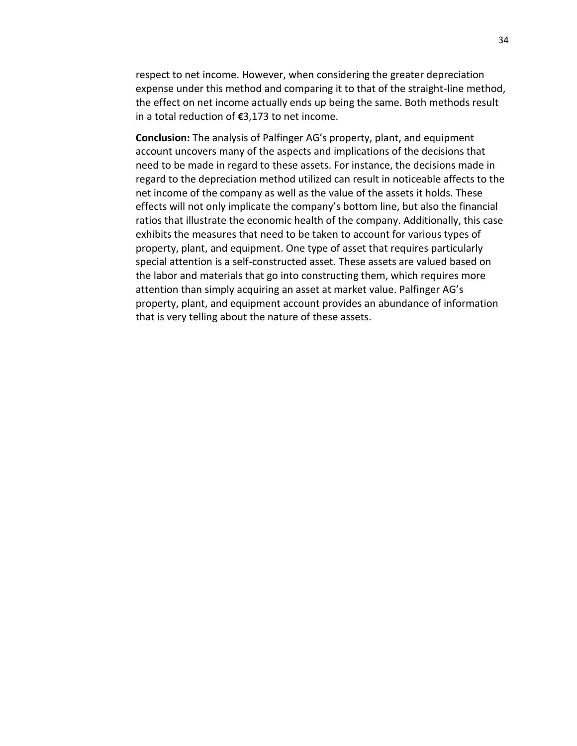respect to net income. However, when considering the greater depreciation expense under this method and comparing it to that of the straight-line method, the effect on net income actually ends up being the same. Both methods result in a total reduction of **€**3,173 to net income.

**Conclusion:** The analysis of Palfinger AG's property, plant, and equipment account uncovers many of the aspects and implications of the decisions that need to be made in regard to these assets. For instance, the decisions made in regard to the depreciation method utilized can result in noticeable affects to the net income of the company as well as the value of the assets it holds. These effects will not only implicate the company's bottom line, but also the financial ratios that illustrate the economic health of the company. Additionally, this case exhibits the measures that need to be taken to account for various types of property, plant, and equipment. One type of asset that requires particularly special attention is a self-constructed asset. These assets are valued based on the labor and materials that go into constructing them, which requires more attention than simply acquiring an asset at market value. Palfinger AG's property, plant, and equipment account provides an abundance of information that is very telling about the nature of these assets.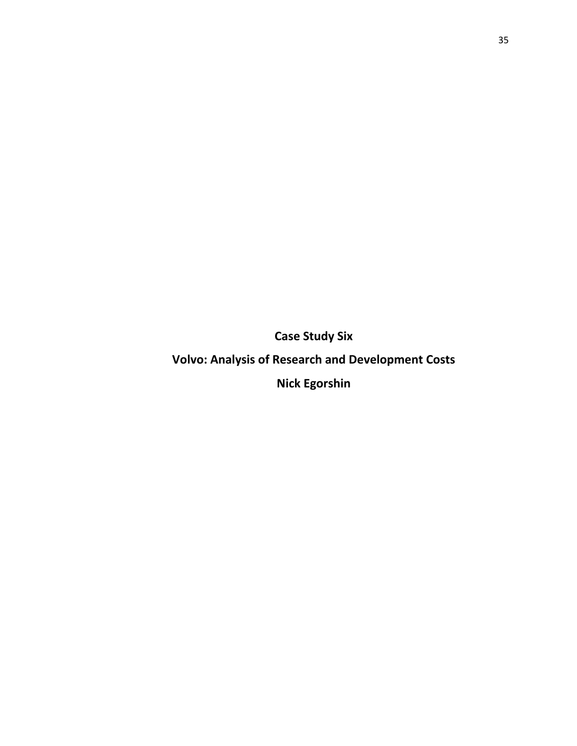**Case Study Six**

**Volvo: Analysis of Research and Development Costs** 

**Nick Egorshin**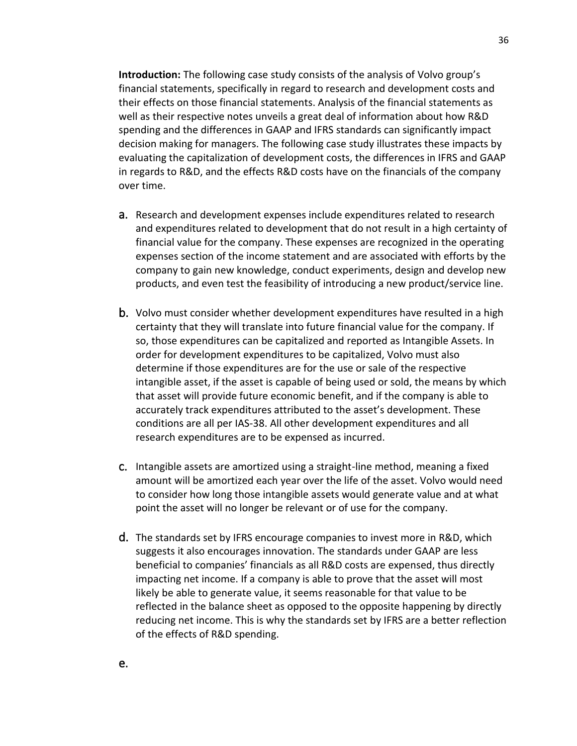**Introduction:** The following case study consists of the analysis of Volvo group's financial statements, specifically in regard to research and development costs and their effects on those financial statements. Analysis of the financial statements as well as their respective notes unveils a great deal of information about how R&D spending and the differences in GAAP and IFRS standards can significantly impact decision making for managers. The following case study illustrates these impacts by evaluating the capitalization of development costs, the differences in IFRS and GAAP in regards to R&D, and the effects R&D costs have on the financials of the company over time.

- a. Research and development expenses include expenditures related to research and expenditures related to development that do not result in a high certainty of financial value for the company. These expenses are recognized in the operating expenses section of the income statement and are associated with efforts by the company to gain new knowledge, conduct experiments, design and develop new products, and even test the feasibility of introducing a new product/service line.
- b. Volvo must consider whether development expenditures have resulted in a high certainty that they will translate into future financial value for the company. If so, those expenditures can be capitalized and reported as Intangible Assets. In order for development expenditures to be capitalized, Volvo must also determine if those expenditures are for the use or sale of the respective intangible asset, if the asset is capable of being used or sold, the means by which that asset will provide future economic benefit, and if the company is able to accurately track expenditures attributed to the asset's development. These conditions are all per IAS-38. All other development expenditures and all research expenditures are to be expensed as incurred.
- c. Intangible assets are amortized using a straight-line method, meaning a fixed amount will be amortized each year over the life of the asset. Volvo would need to consider how long those intangible assets would generate value and at what point the asset will no longer be relevant or of use for the company.
- d. The standards set by IFRS encourage companies to invest more in R&D, which suggests it also encourages innovation. The standards under GAAP are less beneficial to companies' financials as all R&D costs are expensed, thus directly impacting net income. If a company is able to prove that the asset will most likely be able to generate value, it seems reasonable for that value to be reflected in the balance sheet as opposed to the opposite happening by directly reducing net income. This is why the standards set by IFRS are a better reflection of the effects of R&D spending.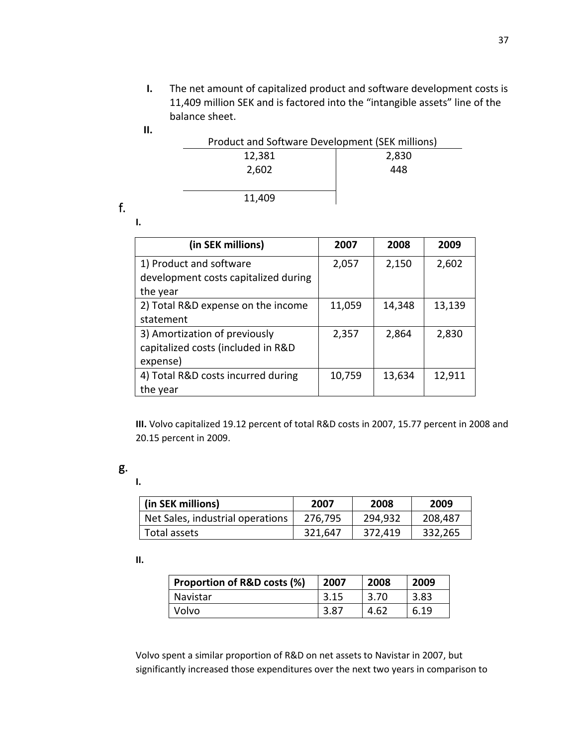**I.** The net amount of capitalized product and software development costs is 11,409 million SEK and is factored into the "intangible assets" line of the balance sheet.

**II.**

| Product and Software Development (SEK millions) |       |  |
|-------------------------------------------------|-------|--|
| 12,381                                          | 2,830 |  |
| 2,602                                           | 448   |  |
|                                                 |       |  |
| 11.409                                          |       |  |

f.

**I.** 

| (in SEK millions)                                                               | 2007   | 2008   | 2009   |
|---------------------------------------------------------------------------------|--------|--------|--------|
| 1) Product and software<br>development costs capitalized during<br>the year     | 2,057  | 2,150  | 2,602  |
| 2) Total R&D expense on the income<br>statement                                 | 11,059 | 14,348 | 13,139 |
| 3) Amortization of previously<br>capitalized costs (included in R&D<br>expense) | 2,357  | 2,864  | 2,830  |
| 4) Total R&D costs incurred during<br>the year                                  | 10,759 | 13,634 | 12,911 |

**III.** Volvo capitalized 19.12 percent of total R&D costs in 2007, 15.77 percent in 2008 and 20.15 percent in 2009.

**I.** 

| (in SEK millions)                | 2007    | 2008    | 2009    |
|----------------------------------|---------|---------|---------|
| Net Sales, industrial operations | 276,795 | 294.932 | 208,487 |
| Total assets                     | 321,647 | 372,419 | 332,265 |

#### **II.**

| Proportion of R&D costs (%) | 2007 | 2008 | 2009 |
|-----------------------------|------|------|------|
| Navistar                    | 3.15 | 3.70 | 3.83 |
| Volvo                       | 3.87 | 4.62 | 6.19 |

Volvo spent a similar proportion of R&D on net assets to Navistar in 2007, but significantly increased those expenditures over the next two years in comparison to

g.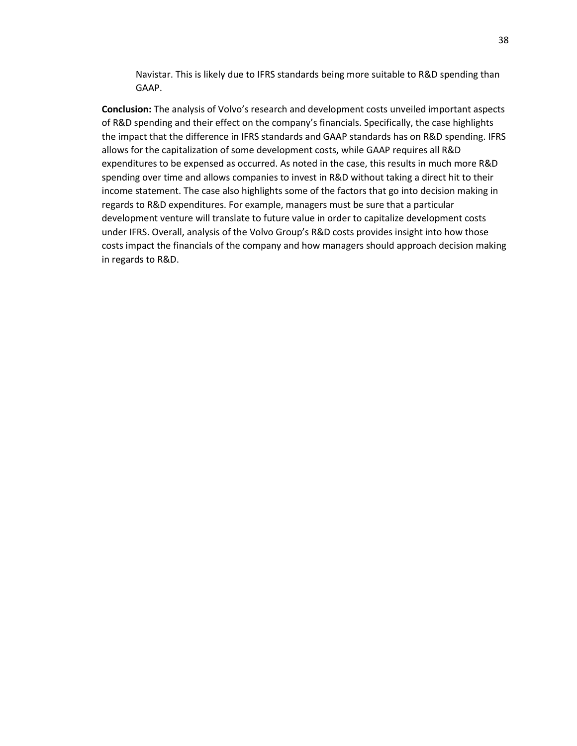Navistar. This is likely due to IFRS standards being more suitable to R&D spending than GAAP.

**Conclusion:** The analysis of Volvo's research and development costs unveiled important aspects of R&D spending and their effect on the company's financials. Specifically, the case highlights the impact that the difference in IFRS standards and GAAP standards has on R&D spending. IFRS allows for the capitalization of some development costs, while GAAP requires all R&D expenditures to be expensed as occurred. As noted in the case, this results in much more R&D spending over time and allows companies to invest in R&D without taking a direct hit to their income statement. The case also highlights some of the factors that go into decision making in regards to R&D expenditures. For example, managers must be sure that a particular development venture will translate to future value in order to capitalize development costs under IFRS. Overall, analysis of the Volvo Group's R&D costs provides insight into how those costs impact the financials of the company and how managers should approach decision making in regards to R&D.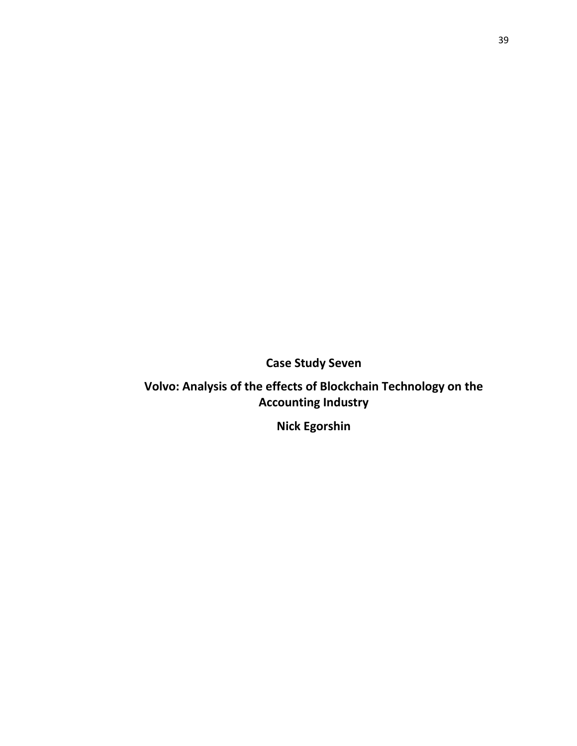**Case Study Seven**

**Volvo: Analysis of the effects of Blockchain Technology on the Accounting Industry** 

**Nick Egorshin**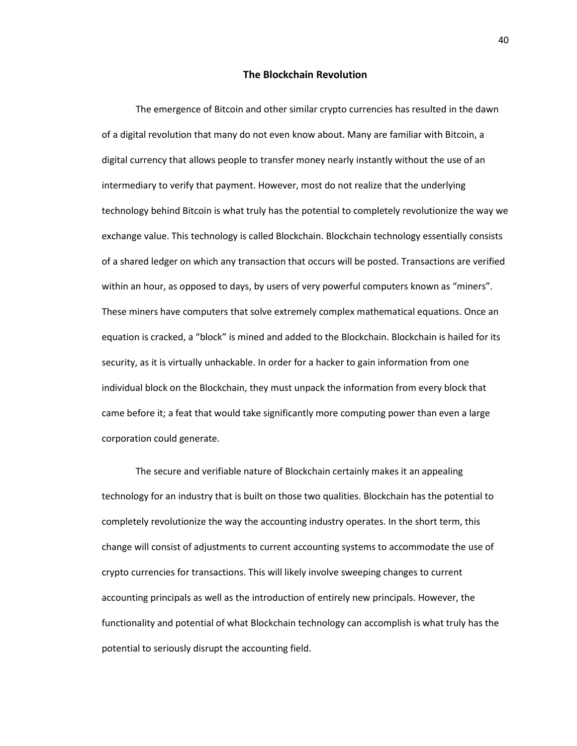#### **The Blockchain Revolution**

The emergence of Bitcoin and other similar crypto currencies has resulted in the dawn of a digital revolution that many do not even know about. Many are familiar with Bitcoin, a digital currency that allows people to transfer money nearly instantly without the use of an intermediary to verify that payment. However, most do not realize that the underlying technology behind Bitcoin is what truly has the potential to completely revolutionize the way we exchange value. This technology is called Blockchain. Blockchain technology essentially consists of a shared ledger on which any transaction that occurs will be posted. Transactions are verified within an hour, as opposed to days, by users of very powerful computers known as "miners". These miners have computers that solve extremely complex mathematical equations. Once an equation is cracked, a "block" is mined and added to the Blockchain. Blockchain is hailed for its security, as it is virtually unhackable. In order for a hacker to gain information from one individual block on the Blockchain, they must unpack the information from every block that came before it; a feat that would take significantly more computing power than even a large corporation could generate.

The secure and verifiable nature of Blockchain certainly makes it an appealing technology for an industry that is built on those two qualities. Blockchain has the potential to completely revolutionize the way the accounting industry operates. In the short term, this change will consist of adjustments to current accounting systems to accommodate the use of crypto currencies for transactions. This will likely involve sweeping changes to current accounting principals as well as the introduction of entirely new principals. However, the functionality and potential of what Blockchain technology can accomplish is what truly has the potential to seriously disrupt the accounting field.

40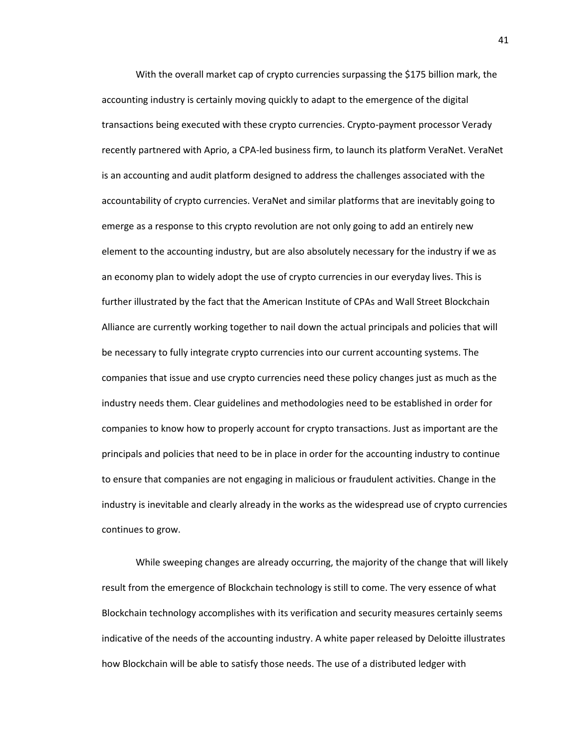With the overall market cap of crypto currencies surpassing the \$175 billion mark, the accounting industry is certainly moving quickly to adapt to the emergence of the digital transactions being executed with these crypto currencies. Crypto-payment processor Verady recently partnered with Aprio, a CPA-led business firm, to launch its platform VeraNet. VeraNet is an accounting and audit platform designed to address the challenges associated with the accountability of crypto currencies. VeraNet and similar platforms that are inevitably going to emerge as a response to this crypto revolution are not only going to add an entirely new element to the accounting industry, but are also absolutely necessary for the industry if we as an economy plan to widely adopt the use of crypto currencies in our everyday lives. This is further illustrated by the fact that the American Institute of CPAs and Wall Street Blockchain Alliance are currently working together to nail down the actual principals and policies that will be necessary to fully integrate crypto currencies into our current accounting systems. The companies that issue and use crypto currencies need these policy changes just as much as the industry needs them. Clear guidelines and methodologies need to be established in order for companies to know how to properly account for crypto transactions. Just as important are the principals and policies that need to be in place in order for the accounting industry to continue to ensure that companies are not engaging in malicious or fraudulent activities. Change in the industry is inevitable and clearly already in the works as the widespread use of crypto currencies continues to grow.

While sweeping changes are already occurring, the majority of the change that will likely result from the emergence of Blockchain technology is still to come. The very essence of what Blockchain technology accomplishes with its verification and security measures certainly seems indicative of the needs of the accounting industry. A white paper released by Deloitte illustrates how Blockchain will be able to satisfy those needs. The use of a distributed ledger with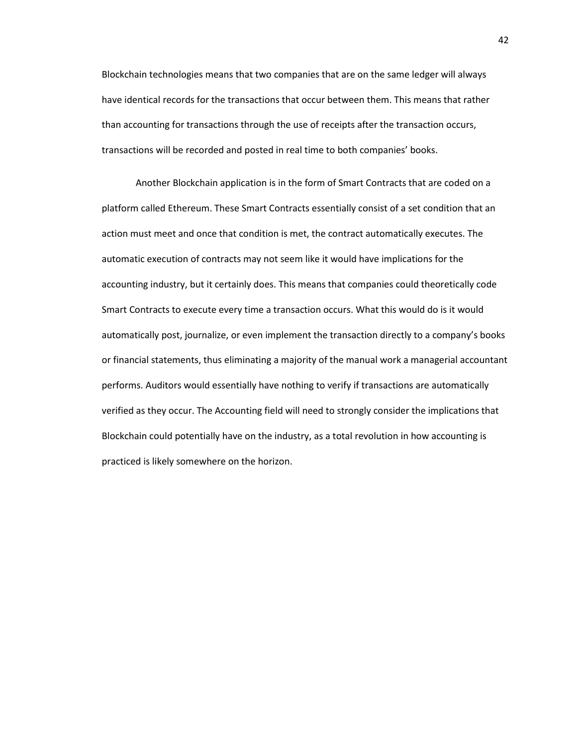Blockchain technologies means that two companies that are on the same ledger will always have identical records for the transactions that occur between them. This means that rather than accounting for transactions through the use of receipts after the transaction occurs, transactions will be recorded and posted in real time to both companies' books.

Another Blockchain application is in the form of Smart Contracts that are coded on a platform called Ethereum. These Smart Contracts essentially consist of a set condition that an action must meet and once that condition is met, the contract automatically executes. The automatic execution of contracts may not seem like it would have implications for the accounting industry, but it certainly does. This means that companies could theoretically code Smart Contracts to execute every time a transaction occurs. What this would do is it would automatically post, journalize, or even implement the transaction directly to a company's books or financial statements, thus eliminating a majority of the manual work a managerial accountant performs. Auditors would essentially have nothing to verify if transactions are automatically verified as they occur. The Accounting field will need to strongly consider the implications that Blockchain could potentially have on the industry, as a total revolution in how accounting is practiced is likely somewhere on the horizon.

42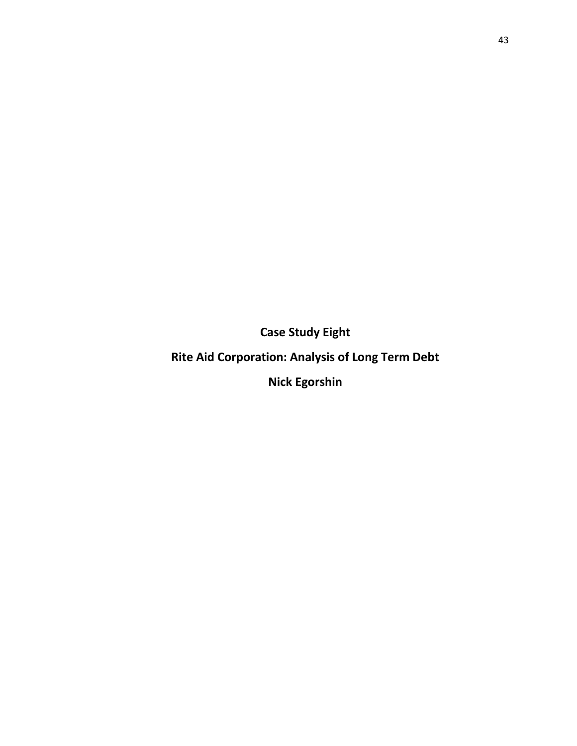**Case Study Eight**

**Rite Aid Corporation: Analysis of Long Term Debt**

**Nick Egorshin**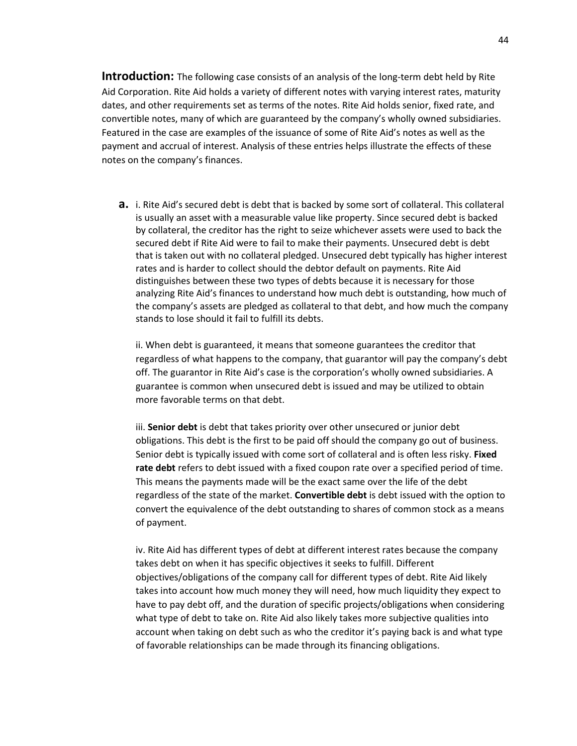**Introduction:** The following case consists of an analysis of the long-term debt held by Rite Aid Corporation. Rite Aid holds a variety of different notes with varying interest rates, maturity dates, and other requirements set as terms of the notes. Rite Aid holds senior, fixed rate, and convertible notes, many of which are guaranteed by the company's wholly owned subsidiaries. Featured in the case are examples of the issuance of some of Rite Aid's notes as well as the payment and accrual of interest. Analysis of these entries helps illustrate the effects of these notes on the company's finances.

**a.** i. Rite Aid's secured debt is debt that is backed by some sort of collateral. This collateral is usually an asset with a measurable value like property. Since secured debt is backed by collateral, the creditor has the right to seize whichever assets were used to back the secured debt if Rite Aid were to fail to make their payments. Unsecured debt is debt that is taken out with no collateral pledged. Unsecured debt typically has higher interest rates and is harder to collect should the debtor default on payments. Rite Aid distinguishes between these two types of debts because it is necessary for those analyzing Rite Aid's finances to understand how much debt is outstanding, how much of the company's assets are pledged as collateral to that debt, and how much the company stands to lose should it fail to fulfill its debts.

ii. When debt is guaranteed, it means that someone guarantees the creditor that regardless of what happens to the company, that guarantor will pay the company's debt off. The guarantor in Rite Aid's case is the corporation's wholly owned subsidiaries. A guarantee is common when unsecured debt is issued and may be utilized to obtain more favorable terms on that debt.

iii. **Senior debt** is debt that takes priority over other unsecured or junior debt obligations. This debt is the first to be paid off should the company go out of business. Senior debt is typically issued with come sort of collateral and is often less risky. **Fixed rate debt** refers to debt issued with a fixed coupon rate over a specified period of time. This means the payments made will be the exact same over the life of the debt regardless of the state of the market. **Convertible debt** is debt issued with the option to convert the equivalence of the debt outstanding to shares of common stock as a means of payment.

iv. Rite Aid has different types of debt at different interest rates because the company takes debt on when it has specific objectives it seeks to fulfill. Different objectives/obligations of the company call for different types of debt. Rite Aid likely takes into account how much money they will need, how much liquidity they expect to have to pay debt off, and the duration of specific projects/obligations when considering what type of debt to take on. Rite Aid also likely takes more subjective qualities into account when taking on debt such as who the creditor it's paying back is and what type of favorable relationships can be made through its financing obligations.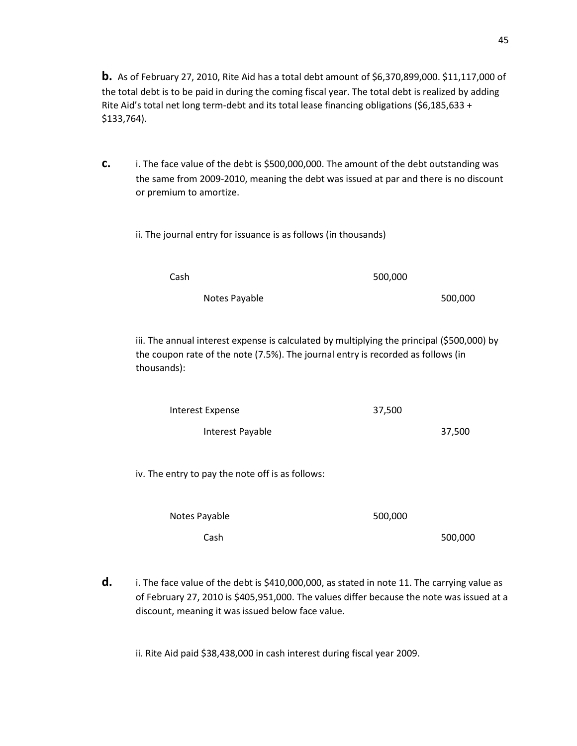**b.** As of February 27, 2010, Rite Aid has a total debt amount of \$6,370,899,000. \$11,117,000 of the total debt is to be paid in during the coming fiscal year. The total debt is realized by adding Rite Aid's total net long term-debt and its total lease financing obligations (\$6,185,633 + \$133,764).

- **c.** i. The face value of the debt is \$500,000,000. The amount of the debt outstanding was the same from 2009-2010, meaning the debt was issued at par and there is no discount or premium to amortize.
	- ii. The journal entry for issuance is as follows (in thousands)

| Cash |               | 500,000 |         |
|------|---------------|---------|---------|
|      | Notes Payable |         | 500,000 |

iii. The annual interest expense is calculated by multiplying the principal (\$500,000) by the coupon rate of the note (7.5%). The journal entry is recorded as follows (in thousands):

| Interest Expense | 37,500 |  |
|------------------|--------|--|
| Interest Payable | 37,500 |  |

iv. The entry to pay the note off is as follows:

| Notes Payable | 500,000 |
|---------------|---------|
| Cash          | 500,000 |

**d. i**. The face value of the debt is \$410,000,000, as stated in note 11. The carrying value as of February 27, 2010 is \$405,951,000. The values differ because the note was issued at a discount, meaning it was issued below face value.

ii. Rite Aid paid \$38,438,000 in cash interest during fiscal year 2009.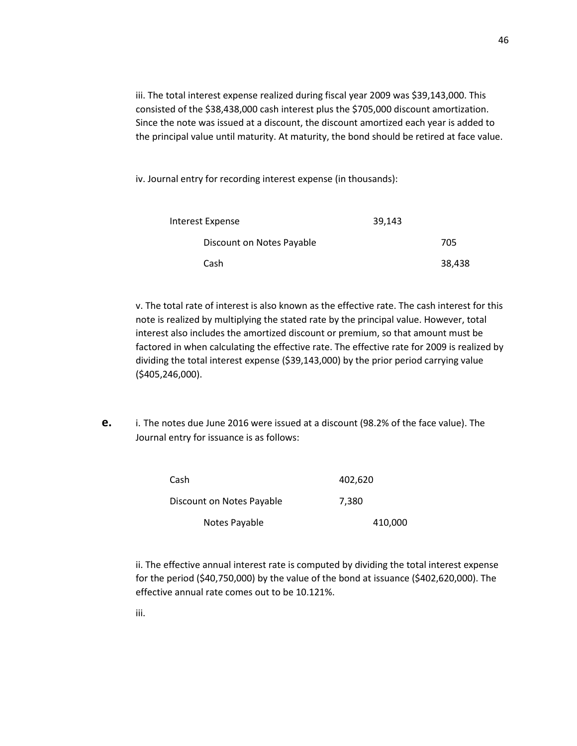iii. The total interest expense realized during fiscal year 2009 was \$39,143,000. This consisted of the \$38,438,000 cash interest plus the \$705,000 discount amortization. Since the note was issued at a discount, the discount amortized each year is added to the principal value until maturity. At maturity, the bond should be retired at face value.

iv. Journal entry for recording interest expense (in thousands):

| Interest Expense          | 39.143 |        |
|---------------------------|--------|--------|
| Discount on Notes Payable |        | 705    |
| Cash                      |        | 38,438 |

v. The total rate of interest is also known as the effective rate. The cash interest for this note is realized by multiplying the stated rate by the principal value. However, total interest also includes the amortized discount or premium, so that amount must be factored in when calculating the effective rate. The effective rate for 2009 is realized by dividing the total interest expense (\$39,143,000) by the prior period carrying value (\$405,246,000).

**e.** i. The notes due June 2016 were issued at a discount (98.2% of the face value). The Journal entry for issuance is as follows:

| Cash                      | 402,620 |
|---------------------------|---------|
| Discount on Notes Payable | 7,380   |
| Notes Payable             | 410,000 |

ii. The effective annual interest rate is computed by dividing the total interest expense for the period (\$40,750,000) by the value of the bond at issuance (\$402,620,000). The effective annual rate comes out to be 10.121%.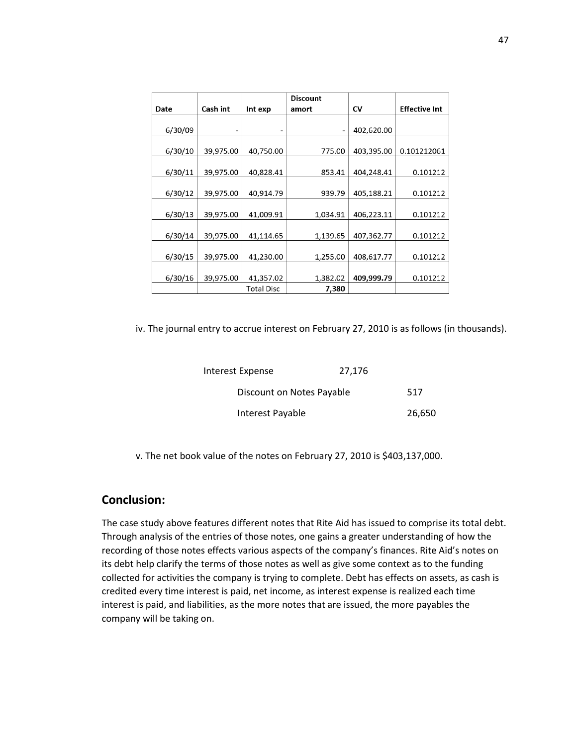|         |           |                   | <b>Discount</b> |            |                      |
|---------|-----------|-------------------|-----------------|------------|----------------------|
| Date    | Cash int  | Int exp           | amort           | CV         | <b>Effective Int</b> |
|         |           |                   |                 |            |                      |
| 6/30/09 |           |                   |                 | 402,620.00 |                      |
|         |           |                   |                 |            |                      |
| 6/30/10 | 39,975.00 | 40,750.00         | 775.00          | 403,395.00 | 0.101212061          |
|         |           |                   |                 |            |                      |
| 6/30/11 | 39,975.00 | 40,828.41         | 853.41          | 404,248.41 | 0.101212             |
|         |           |                   |                 |            |                      |
| 6/30/12 | 39,975.00 | 40,914.79         | 939.79          | 405,188.21 | 0.101212             |
|         |           |                   |                 |            |                      |
| 6/30/13 | 39,975.00 | 41,009.91         | 1,034.91        | 406,223.11 | 0.101212             |
|         |           |                   |                 |            |                      |
| 6/30/14 | 39,975.00 | 41,114.65         | 1,139.65        | 407,362.77 | 0.101212             |
|         |           |                   |                 |            |                      |
| 6/30/15 | 39,975.00 | 41.230.00         | 1,255.00        | 408,617.77 | 0.101212             |
|         |           |                   |                 |            |                      |
| 6/30/16 | 39,975.00 | 41,357.02         | 1,382.02        | 409,999.79 | 0.101212             |
|         |           | <b>Total Disc</b> | 7,380           |            |                      |

iv. The journal entry to accrue interest on February 27, 2010 is as follows (in thousands).

| Interest Expense          | 27,176 |        |
|---------------------------|--------|--------|
| Discount on Notes Payable |        | 517    |
| Interest Payable          |        | 26,650 |

v. The net book value of the notes on February 27, 2010 is \$403,137,000.

### **Conclusion:**

The case study above features different notes that Rite Aid has issued to comprise its total debt. Through analysis of the entries of those notes, one gains a greater understanding of how the recording of those notes effects various aspects of the company's finances. Rite Aid's notes on its debt help clarify the terms of those notes as well as give some context as to the funding collected for activities the company is trying to complete. Debt has effects on assets, as cash is credited every time interest is paid, net income, as interest expense is realized each time interest is paid, and liabilities, as the more notes that are issued, the more payables the company will be taking on.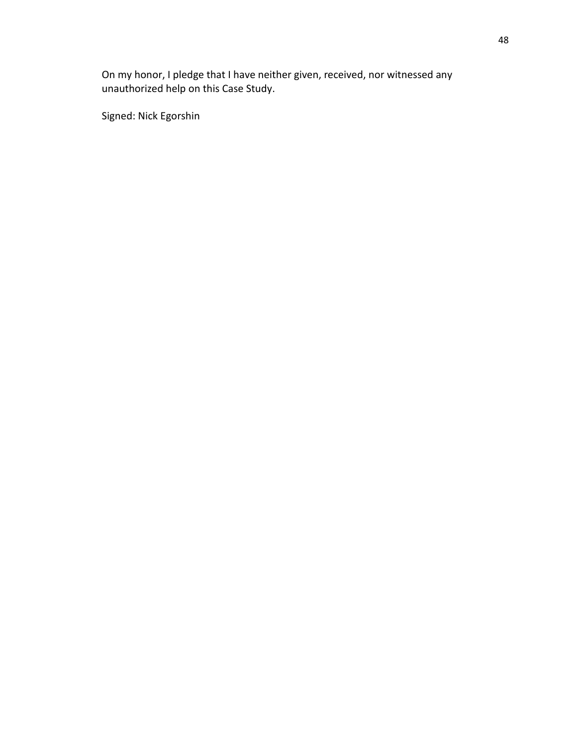On my honor, I pledge that I have neither given, received, nor witnessed any unauthorized help on this Case Study.

Signed: Nick Egorshin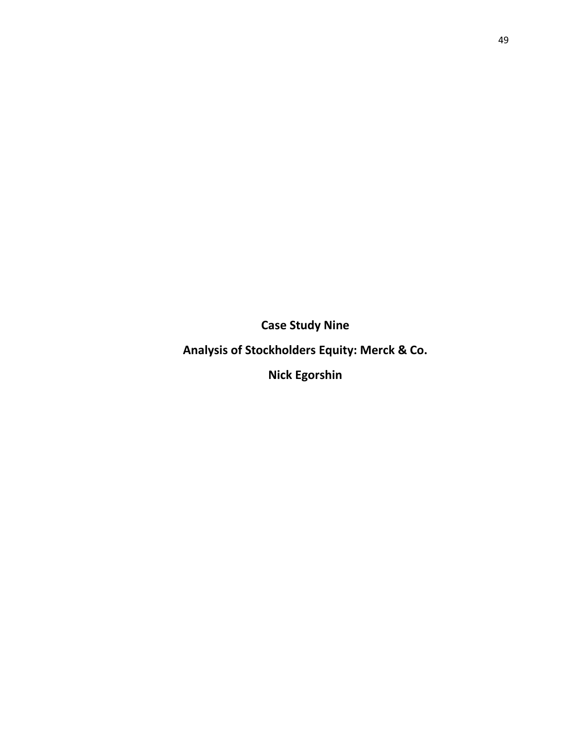**Case Study Nine**

**Analysis of Stockholders Equity: Merck & Co.**

**Nick Egorshin**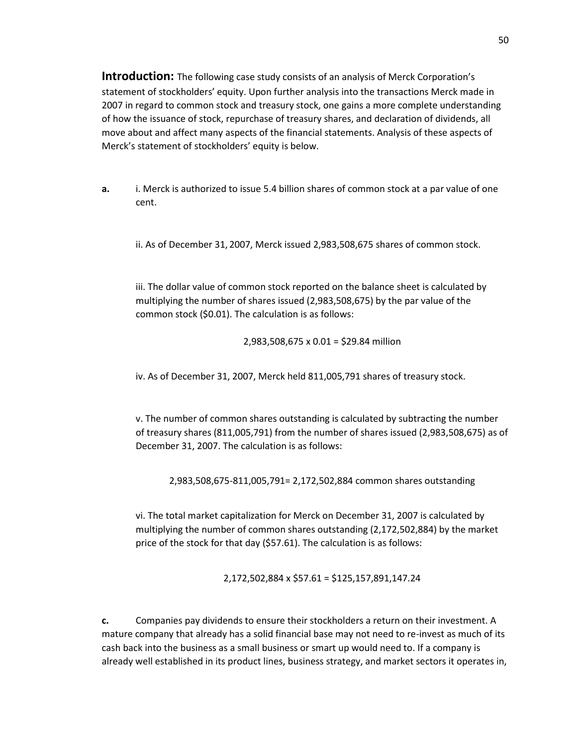**Introduction:** The following case study consists of an analysis of Merck Corporation's statement of stockholders' equity. Upon further analysis into the transactions Merck made in 2007 in regard to common stock and treasury stock, one gains a more complete understanding of how the issuance of stock, repurchase of treasury shares, and declaration of dividends, all move about and affect many aspects of the financial statements. Analysis of these aspects of Merck's statement of stockholders' equity is below.

**a.** i. Merck is authorized to issue 5.4 billion shares of common stock at a par value of one cent.

ii. As of December 31, 2007, Merck issued 2,983,508,675 shares of common stock.

iii. The dollar value of common stock reported on the balance sheet is calculated by multiplying the number of shares issued (2,983,508,675) by the par value of the common stock (\$0.01). The calculation is as follows:

2,983,508,675 x 0.01 = \$29.84 million

iv. As of December 31, 2007, Merck held 811,005,791 shares of treasury stock.

v. The number of common shares outstanding is calculated by subtracting the number of treasury shares (811,005,791) from the number of shares issued (2,983,508,675) as of December 31, 2007. The calculation is as follows:

2,983,508,675-811,005,791= 2,172,502,884 common shares outstanding

vi. The total market capitalization for Merck on December 31, 2007 is calculated by multiplying the number of common shares outstanding (2,172,502,884) by the market price of the stock for that day (\$57.61). The calculation is as follows:

2,172,502,884 x \$57.61 = \$125,157,891,147.24

**c.** Companies pay dividends to ensure their stockholders a return on their investment. A mature company that already has a solid financial base may not need to re-invest as much of its cash back into the business as a small business or smart up would need to. If a company is already well established in its product lines, business strategy, and market sectors it operates in,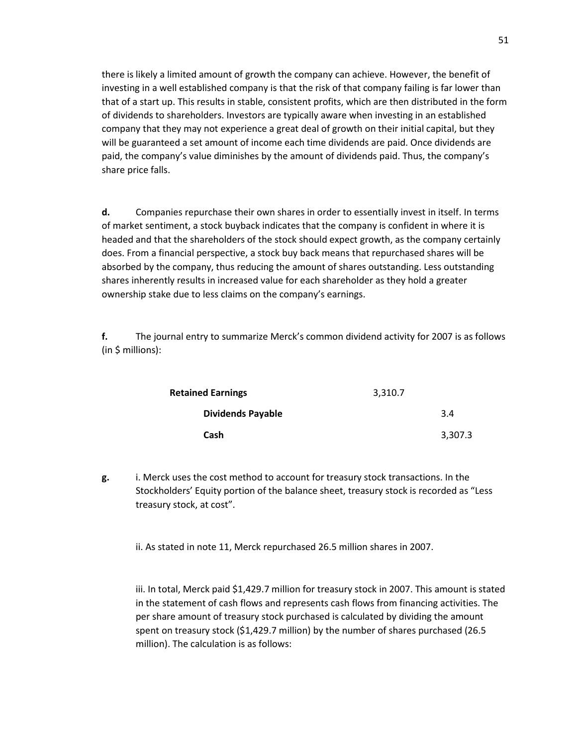there is likely a limited amount of growth the company can achieve. However, the benefit of investing in a well established company is that the risk of that company failing is far lower than that of a start up. This results in stable, consistent profits, which are then distributed in the form of dividends to shareholders. Investors are typically aware when investing in an established company that they may not experience a great deal of growth on their initial capital, but they will be guaranteed a set amount of income each time dividends are paid. Once dividends are paid, the company's value diminishes by the amount of dividends paid. Thus, the company's share price falls.

**d.** Companies repurchase their own shares in order to essentially invest in itself. In terms of market sentiment, a stock buyback indicates that the company is confident in where it is headed and that the shareholders of the stock should expect growth, as the company certainly does. From a financial perspective, a stock buy back means that repurchased shares will be absorbed by the company, thus reducing the amount of shares outstanding. Less outstanding shares inherently results in increased value for each shareholder as they hold a greater ownership stake due to less claims on the company's earnings.

**f.** The journal entry to summarize Merck's common dividend activity for 2007 is as follows (in \$ millions):

| <b>Retained Earnings</b> | 3,310.7 |         |
|--------------------------|---------|---------|
| <b>Dividends Payable</b> |         | 3.4     |
| Cash                     |         | 3,307.3 |

**g.** i. Merck uses the cost method to account for treasury stock transactions. In the Stockholders' Equity portion of the balance sheet, treasury stock is recorded as "Less treasury stock, at cost".

ii. As stated in note 11, Merck repurchased 26.5 million shares in 2007.

iii. In total, Merck paid \$1,429.7 million for treasury stock in 2007. This amount is stated in the statement of cash flows and represents cash flows from financing activities. The per share amount of treasury stock purchased is calculated by dividing the amount spent on treasury stock (\$1,429.7 million) by the number of shares purchased (26.5 million). The calculation is as follows: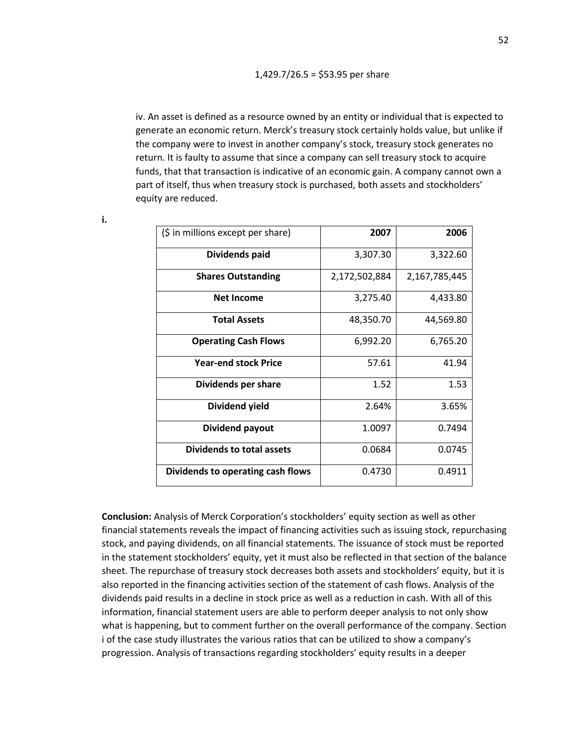iv. An asset is defined as a resource owned by an entity or individual that is expected to generate an economic return. Merck's treasury stock certainly holds value, but unlike if the company were to invest in another company's stock, treasury stock generates no return. It is faulty to assume that since a company can sell treasury stock to acquire funds, that that transaction is indicative of an economic gain. A company cannot own a part of itself, thus when treasury stock is purchased, both assets and stockholders' equity are reduced.

| (\$ in millions except per share) | 2007          | 2006          |
|-----------------------------------|---------------|---------------|
| Dividends paid                    | 3,307.30      | 3,322.60      |
| <b>Shares Outstanding</b>         | 2,172,502,884 | 2,167,785,445 |
| <b>Net Income</b>                 | 3,275.40      | 4,433.80      |
| <b>Total Assets</b>               | 48,350.70     | 44,569.80     |
| <b>Operating Cash Flows</b>       | 6,992.20      | 6,765.20      |
| <b>Year-end stock Price</b>       | 57.61         | 41.94         |
| Dividends per share               | 1.52          | 1.53          |
| Dividend yield                    | 2.64%         | 3.65%         |
| Dividend payout                   | 1.0097        | 0.7494        |
| <b>Dividends to total assets</b>  | 0.0684        | 0.0745        |
| Dividends to operating cash flows | 0.4730        | 0.4911        |

**Conclusion:** Analysis of Merck Corporation's stockholders' equity section as well as other financial statements reveals the impact of financing activities such as issuing stock, repurchasing stock, and paying dividends, on all financial statements. The issuance of stock must be reported in the statement stockholders' equity, yet it must also be reflected in that section of the balance sheet. The repurchase of treasury stock decreases both assets and stockholders' equity, but it is also reported in the financing activities section of the statement of cash flows. Analysis of the dividends paid results in a decline in stock price as well as a reduction in cash. With all of this information, financial statement users are able to perform deeper analysis to not only show what is happening, but to comment further on the overall performance of the company. Section i of the case study illustrates the various ratios that can be utilized to show a company's progression. Analysis of transactions regarding stockholders' equity results in a deeper

**i.**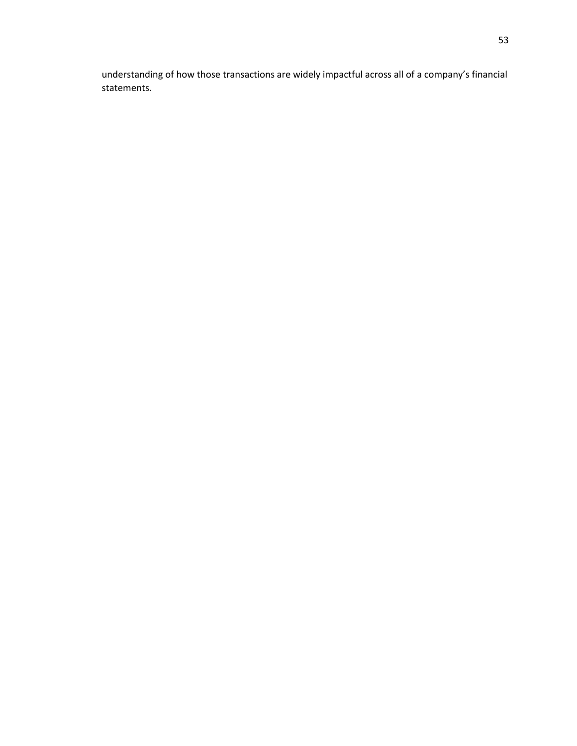understanding of how those transactions are widely impactful across all of a company's financial statements.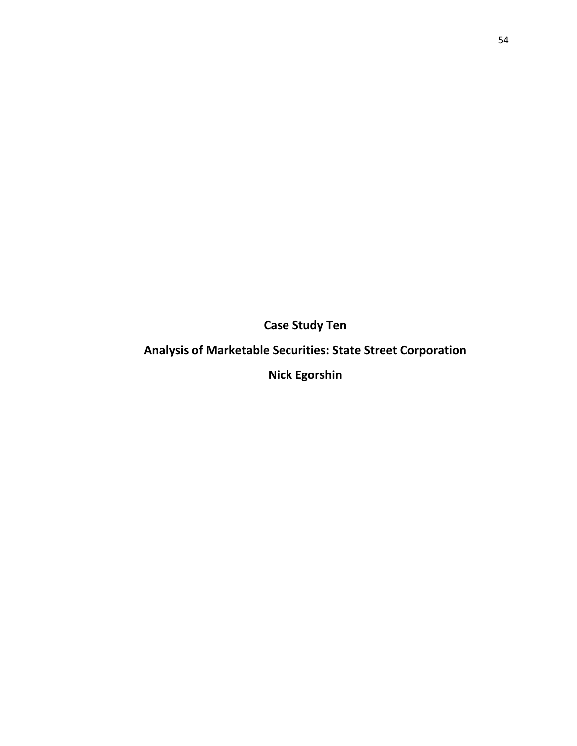**Case Study Ten**

## **Analysis of Marketable Securities: State Street Corporation**

**Nick Egorshin**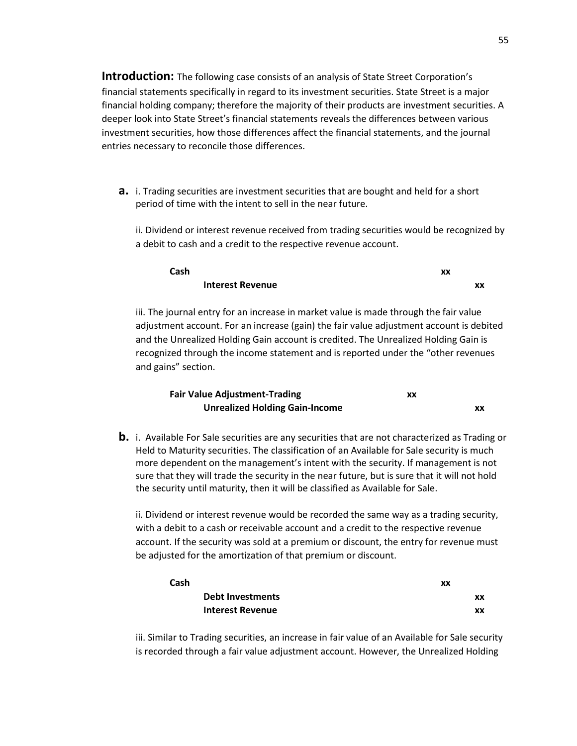**Introduction:** The following case consists of an analysis of State Street Corporation's financial statements specifically in regard to its investment securities. State Street is a major financial holding company; therefore the majority of their products are investment securities. A deeper look into State Street's financial statements reveals the differences between various investment securities, how those differences affect the financial statements, and the journal entries necessary to reconcile those differences.

**a.** i. Trading securities are investment securities that are bought and held for a short period of time with the intent to sell in the near future.

ii. Dividend or interest revenue received from trading securities would be recognized by a debit to cash and a credit to the respective revenue account.

| Cash |                         | xx |    |
|------|-------------------------|----|----|
|      | <b>Interest Revenue</b> |    | XX |

iii. The journal entry for an increase in market value is made through the fair value adjustment account. For an increase (gain) the fair value adjustment account is debited and the Unrealized Holding Gain account is credited. The Unrealized Holding Gain is recognized through the income statement and is reported under the "other revenues and gains" section.

| <b>Fair Value Adjustment-Trading</b>  | xx |    |
|---------------------------------------|----|----|
| <b>Unrealized Holding Gain-Income</b> |    | xх |

**b.** i. Available For Sale securities are any securities that are not characterized as Trading or Held to Maturity securities. The classification of an Available for Sale security is much more dependent on the management's intent with the security. If management is not sure that they will trade the security in the near future, but is sure that it will not hold the security until maturity, then it will be classified as Available for Sale.

ii. Dividend or interest revenue would be recorded the same way as a trading security, with a debit to a cash or receivable account and a credit to the respective revenue account. If the security was sold at a premium or discount, the entry for revenue must be adjusted for the amortization of that premium or discount.

| Cash |                         | XX |
|------|-------------------------|----|
|      | <b>Debt Investments</b> | XX |
|      | <b>Interest Revenue</b> | XX |

iii. Similar to Trading securities, an increase in fair value of an Available for Sale security is recorded through a fair value adjustment account. However, the Unrealized Holding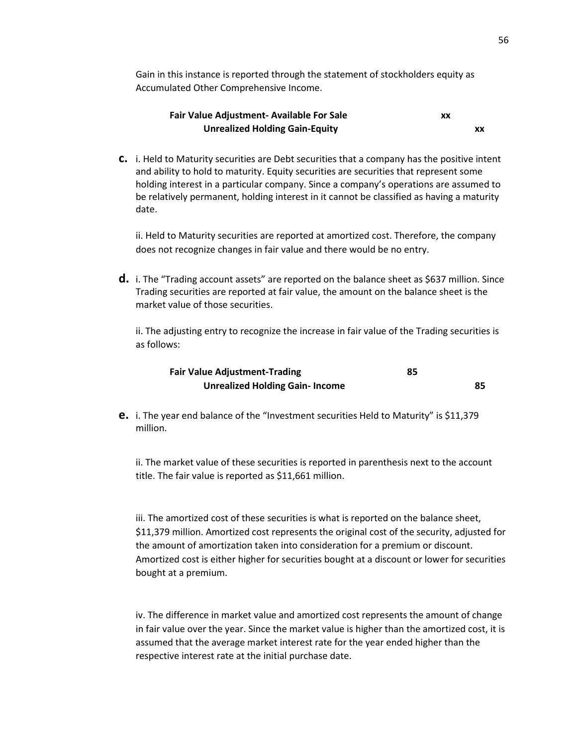Gain in this instance is reported through the statement of stockholders equity as Accumulated Other Comprehensive Income.

| <b>Fair Value Adjustment- Available For Sale</b> | XX |
|--------------------------------------------------|----|
| <b>Unrealized Holding Gain-Equity</b>            |    |

**c.** i. Held to Maturity securities are Debt securities that a company has the positive intent and ability to hold to maturity. Equity securities are securities that represent some holding interest in a particular company. Since a company's operations are assumed to be relatively permanent, holding interest in it cannot be classified as having a maturity date.

ii. Held to Maturity securities are reported at amortized cost. Therefore, the company does not recognize changes in fair value and there would be no entry.

**d.** i. The "Trading account assets" are reported on the balance sheet as \$637 million. Since Trading securities are reported at fair value, the amount on the balance sheet is the market value of those securities.

ii. The adjusting entry to recognize the increase in fair value of the Trading securities is as follows:

| <b>Fair Value Adjustment-Trading</b>  | 85 |    |
|---------------------------------------|----|----|
| <b>Unrealized Holding Gain-Income</b> |    | 85 |

**e.** i. The year end balance of the "Investment securities Held to Maturity" is \$11,379 million.

ii. The market value of these securities is reported in parenthesis next to the account title. The fair value is reported as \$11,661 million.

iii. The amortized cost of these securities is what is reported on the balance sheet, \$11,379 million. Amortized cost represents the original cost of the security, adjusted for the amount of amortization taken into consideration for a premium or discount. Amortized cost is either higher for securities bought at a discount or lower for securities bought at a premium.

iv. The difference in market value and amortized cost represents the amount of change in fair value over the year. Since the market value is higher than the amortized cost, it is assumed that the average market interest rate for the year ended higher than the respective interest rate at the initial purchase date.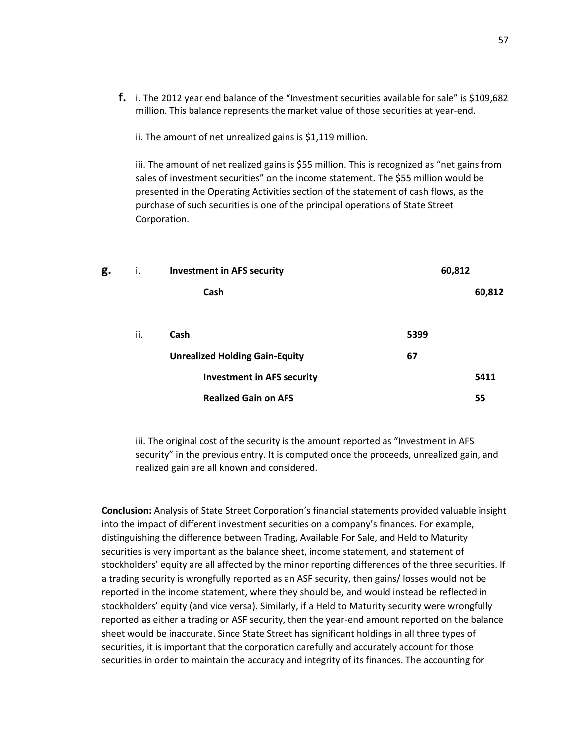**f.** i. The 2012 year end balance of the "Investment securities available for sale" is \$109,682 million. This balance represents the market value of those securities at year-end.

ii. The amount of net unrealized gains is \$1,119 million.

iii. The amount of net realized gains is \$55 million. This is recognized as "net gains from sales of investment securities" on the income statement. The \$55 million would be presented in the Operating Activities section of the statement of cash flows, as the purchase of such securities is one of the principal operations of State Street Corporation.

| g. | Τ.  | <b>Investment in AFS security</b>     | 60,812 |        |
|----|-----|---------------------------------------|--------|--------|
|    |     | Cash                                  |        | 60,812 |
|    | ii. | Cash                                  | 5399   |        |
|    |     | <b>Unrealized Holding Gain-Equity</b> | 67     |        |
|    |     | <b>Investment in AFS security</b>     |        | 5411   |
|    |     | <b>Realized Gain on AFS</b>           |        | 55     |

iii. The original cost of the security is the amount reported as "Investment in AFS security" in the previous entry. It is computed once the proceeds, unrealized gain, and realized gain are all known and considered.

**Conclusion:** Analysis of State Street Corporation's financial statements provided valuable insight into the impact of different investment securities on a company's finances. For example, distinguishing the difference between Trading, Available For Sale, and Held to Maturity securities is very important as the balance sheet, income statement, and statement of stockholders' equity are all affected by the minor reporting differences of the three securities. If a trading security is wrongfully reported as an ASF security, then gains/ losses would not be reported in the income statement, where they should be, and would instead be reflected in stockholders' equity (and vice versa). Similarly, if a Held to Maturity security were wrongfully reported as either a trading or ASF security, then the year-end amount reported on the balance sheet would be inaccurate. Since State Street has significant holdings in all three types of securities, it is important that the corporation carefully and accurately account for those securities in order to maintain the accuracy and integrity of its finances. The accounting for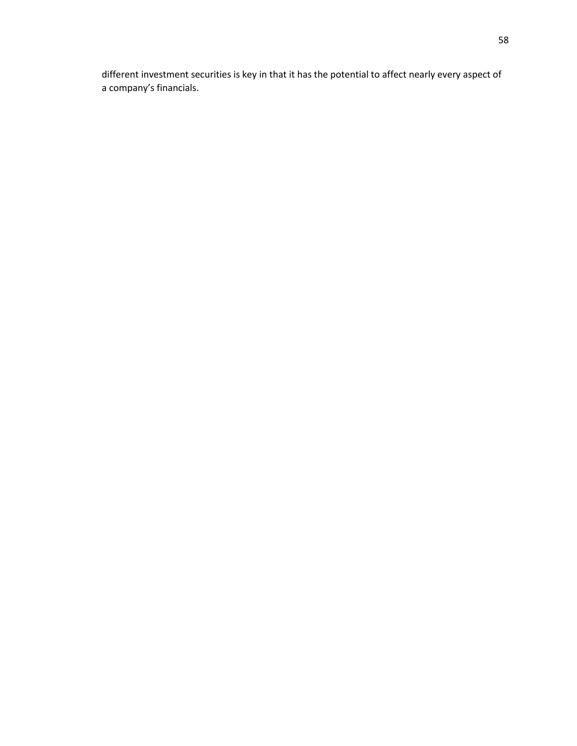different investment securities is key in that it has the potential to affect nearly every aspect of a company's financials.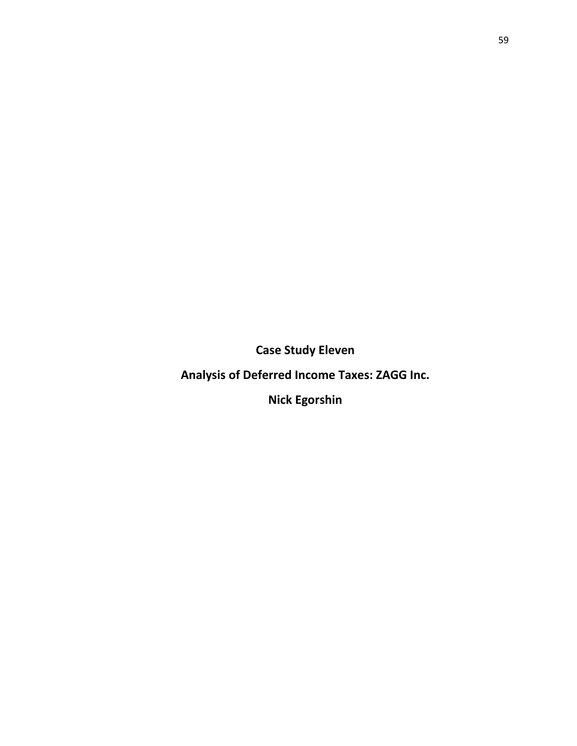**Case Study Eleven**

**Analysis of Deferred Income Taxes: ZAGG Inc.** 

**Nick Egorshin**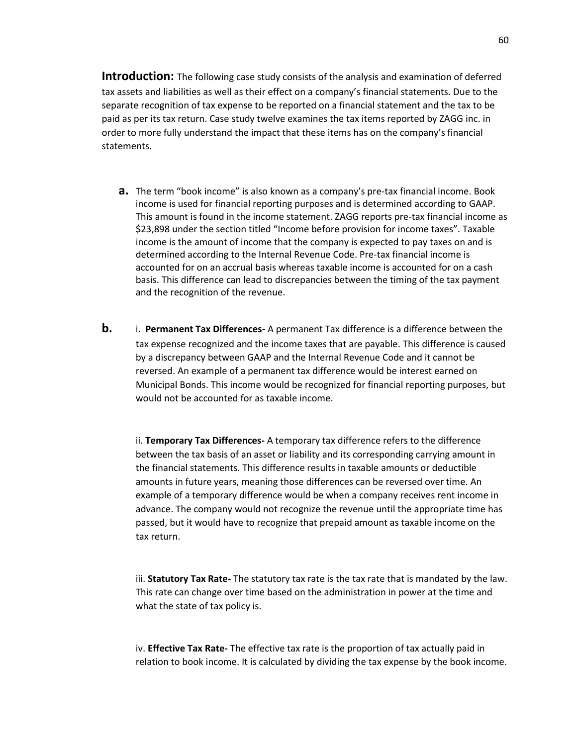**Introduction:** The following case study consists of the analysis and examination of deferred tax assets and liabilities as well as their effect on a company's financial statements. Due to the separate recognition of tax expense to be reported on a financial statement and the tax to be paid as per its tax return. Case study twelve examines the tax items reported by ZAGG inc. in order to more fully understand the impact that these items has on the company's financial statements.

- **a.** The term "book income" is also known as a company's pre-tax financial income. Book income is used for financial reporting purposes and is determined according to GAAP. This amount is found in the income statement. ZAGG reports pre-tax financial income as \$23,898 under the section titled "Income before provision for income taxes". Taxable income is the amount of income that the company is expected to pay taxes on and is determined according to the Internal Revenue Code. Pre-tax financial income is accounted for on an accrual basis whereas taxable income is accounted for on a cash basis. This difference can lead to discrepancies between the timing of the tax payment and the recognition of the revenue.
- **b.** i. **Permanent Tax Differences-** A permanent Tax difference is a difference between the tax expense recognized and the income taxes that are payable. This difference is caused by a discrepancy between GAAP and the Internal Revenue Code and it cannot be reversed. An example of a permanent tax difference would be interest earned on Municipal Bonds. This income would be recognized for financial reporting purposes, but would not be accounted for as taxable income.

ii. **Temporary Tax Differences-** A temporary tax difference refers to the difference between the tax basis of an asset or liability and its corresponding carrying amount in the financial statements. This difference results in taxable amounts or deductible amounts in future years, meaning those differences can be reversed over time. An example of a temporary difference would be when a company receives rent income in advance. The company would not recognize the revenue until the appropriate time has passed, but it would have to recognize that prepaid amount as taxable income on the tax return.

iii. **Statutory Tax Rate-** The statutory tax rate is the tax rate that is mandated by the law. This rate can change over time based on the administration in power at the time and what the state of tax policy is.

iv. **Effective Tax Rate-** The effective tax rate is the proportion of tax actually paid in relation to book income. It is calculated by dividing the tax expense by the book income.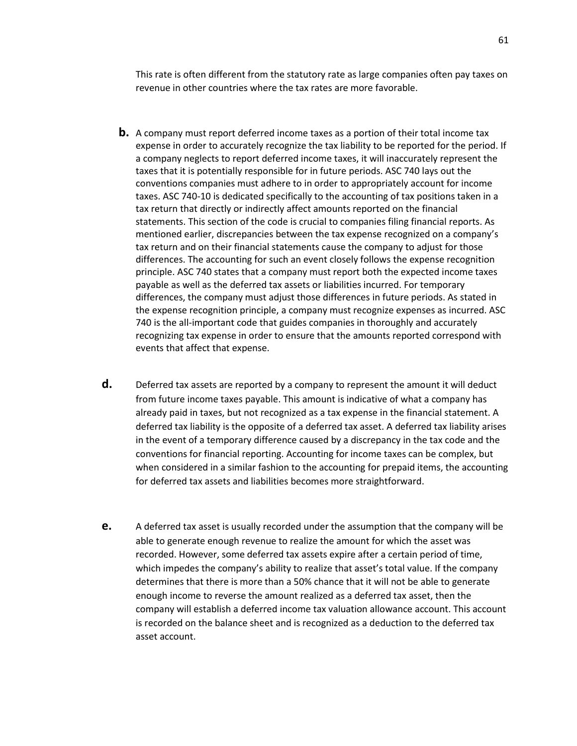This rate is often different from the statutory rate as large companies often pay taxes on revenue in other countries where the tax rates are more favorable.

- **b.** A company must report deferred income taxes as a portion of their total income tax expense in order to accurately recognize the tax liability to be reported for the period. If a company neglects to report deferred income taxes, it will inaccurately represent the taxes that it is potentially responsible for in future periods. ASC 740 lays out the conventions companies must adhere to in order to appropriately account for income taxes. ASC 740-10 is dedicated specifically to the accounting of tax positions taken in a tax return that directly or indirectly affect amounts reported on the financial statements. This section of the code is crucial to companies filing financial reports. As mentioned earlier, discrepancies between the tax expense recognized on a company's tax return and on their financial statements cause the company to adjust for those differences. The accounting for such an event closely follows the expense recognition principle. ASC 740 states that a company must report both the expected income taxes payable as well as the deferred tax assets or liabilities incurred. For temporary differences, the company must adjust those differences in future periods. As stated in the expense recognition principle, a company must recognize expenses as incurred. ASC 740 is the all-important code that guides companies in thoroughly and accurately recognizing tax expense in order to ensure that the amounts reported correspond with events that affect that expense.
- **d.** Deferred tax assets are reported by a company to represent the amount it will deduct from future income taxes payable. This amount is indicative of what a company has already paid in taxes, but not recognized as a tax expense in the financial statement. A deferred tax liability is the opposite of a deferred tax asset. A deferred tax liability arises in the event of a temporary difference caused by a discrepancy in the tax code and the conventions for financial reporting. Accounting for income taxes can be complex, but when considered in a similar fashion to the accounting for prepaid items, the accounting for deferred tax assets and liabilities becomes more straightforward.
- **e.** A deferred tax asset is usually recorded under the assumption that the company will be able to generate enough revenue to realize the amount for which the asset was recorded. However, some deferred tax assets expire after a certain period of time, which impedes the company's ability to realize that asset's total value. If the company determines that there is more than a 50% chance that it will not be able to generate enough income to reverse the amount realized as a deferred tax asset, then the company will establish a deferred income tax valuation allowance account. This account is recorded on the balance sheet and is recognized as a deduction to the deferred tax asset account.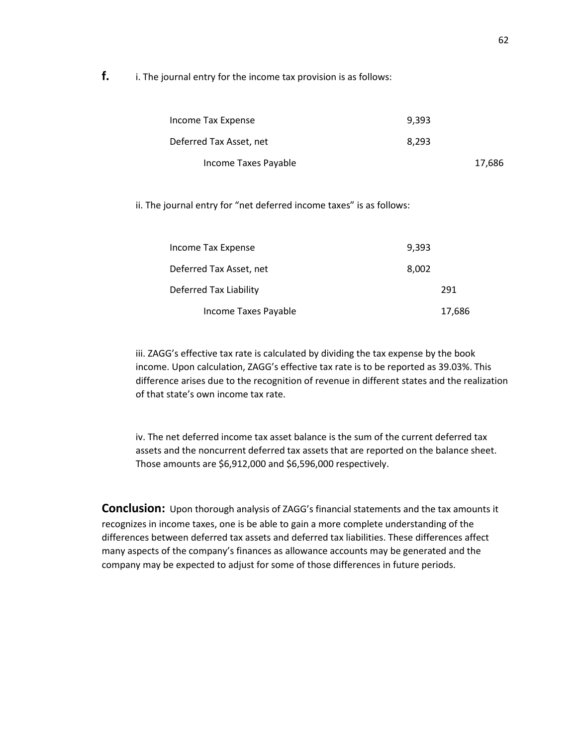**f.** i. The journal entry for the income tax provision is as follows:

| Income Tax Expense      | 9.393 |        |
|-------------------------|-------|--------|
| Deferred Tax Asset, net | 8.293 |        |
| Income Taxes Payable    |       | 17,686 |

ii. The journal entry for "net deferred income taxes" is as follows:

| Income Tax Expense      | 9,393 |        |
|-------------------------|-------|--------|
| Deferred Tax Asset, net | 8,002 |        |
| Deferred Tax Liability  |       | 291    |
| Income Taxes Payable    |       | 17,686 |

iii. ZAGG's effective tax rate is calculated by dividing the tax expense by the book income. Upon calculation, ZAGG's effective tax rate is to be reported as 39.03%. This difference arises due to the recognition of revenue in different states and the realization of that state's own income tax rate.

iv. The net deferred income tax asset balance is the sum of the current deferred tax assets and the noncurrent deferred tax assets that are reported on the balance sheet. Those amounts are \$6,912,000 and \$6,596,000 respectively.

**Conclusion:** Upon thorough analysis of ZAGG's financial statements and the tax amounts it recognizes in income taxes, one is be able to gain a more complete understanding of the differences between deferred tax assets and deferred tax liabilities. These differences affect many aspects of the company's finances as allowance accounts may be generated and the company may be expected to adjust for some of those differences in future periods.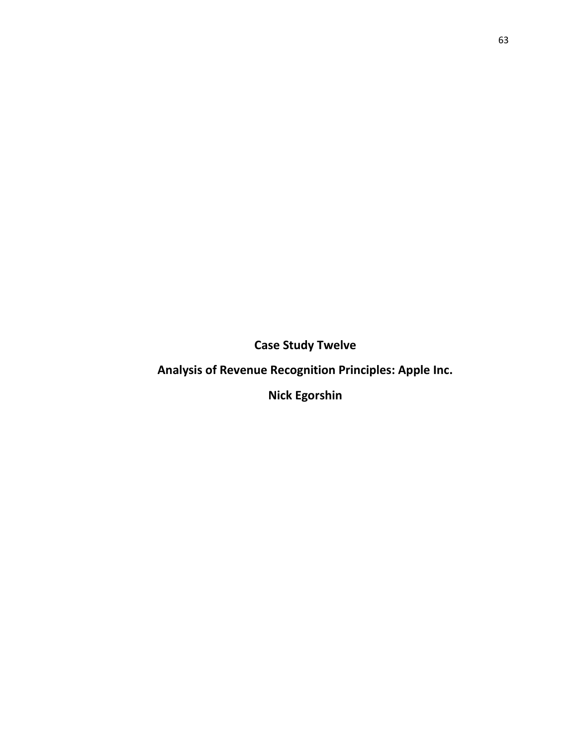**Case Study Twelve**

**Analysis of Revenue Recognition Principles: Apple Inc.** 

**Nick Egorshin**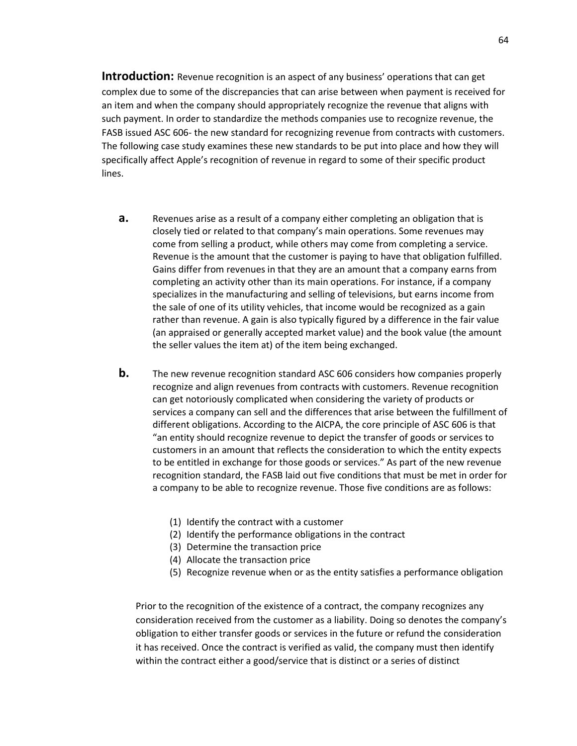**Introduction:** Revenue recognition is an aspect of any business' operations that can get complex due to some of the discrepancies that can arise between when payment is received for an item and when the company should appropriately recognize the revenue that aligns with such payment. In order to standardize the methods companies use to recognize revenue, the FASB issued ASC 606- the new standard for recognizing revenue from contracts with customers. The following case study examines these new standards to be put into place and how they will specifically affect Apple's recognition of revenue in regard to some of their specific product lines.

- **a.** Revenues arise as a result of a company either completing an obligation that is closely tied or related to that company's main operations. Some revenues may come from selling a product, while others may come from completing a service. Revenue is the amount that the customer is paying to have that obligation fulfilled. Gains differ from revenues in that they are an amount that a company earns from completing an activity other than its main operations. For instance, if a company specializes in the manufacturing and selling of televisions, but earns income from the sale of one of its utility vehicles, that income would be recognized as a gain rather than revenue. A gain is also typically figured by a difference in the fair value (an appraised or generally accepted market value) and the book value (the amount the seller values the item at) of the item being exchanged.
- **b.** The new revenue recognition standard ASC 606 considers how companies properly recognize and align revenues from contracts with customers. Revenue recognition can get notoriously complicated when considering the variety of products or services a company can sell and the differences that arise between the fulfillment of different obligations. According to the AICPA, the core principle of ASC 606 is that "an entity should recognize revenue to depict the transfer of goods or services to customers in an amount that reflects the consideration to which the entity expects to be entitled in exchange for those goods or services." As part of the new revenue recognition standard, the FASB laid out five conditions that must be met in order for a company to be able to recognize revenue. Those five conditions are as follows:
	- (1) Identify the contract with a customer
	- (2) Identify the performance obligations in the contract
	- (3) Determine the transaction price
	- (4) Allocate the transaction price
	- (5) Recognize revenue when or as the entity satisfies a performance obligation

Prior to the recognition of the existence of a contract, the company recognizes any consideration received from the customer as a liability. Doing so denotes the company's obligation to either transfer goods or services in the future or refund the consideration it has received. Once the contract is verified as valid, the company must then identify within the contract either a good/service that is distinct or a series of distinct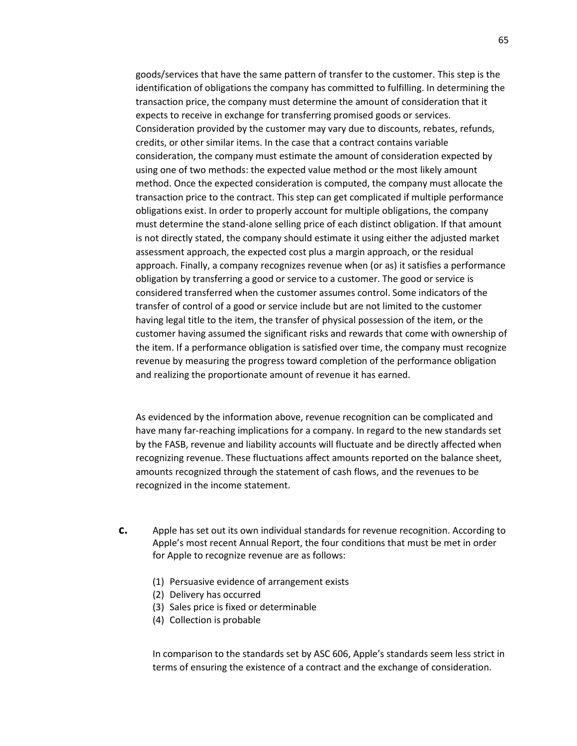goods/services that have the same pattern of transfer to the customer. This step is the identification of obligations the company has committed to fulfilling. In determining the transaction price, the company must determine the amount of consideration that it expects to receive in exchange for transferring promised goods or services. Consideration provided by the customer may vary due to discounts, rebates, refunds, credits, or other similar items. In the case that a contract contains variable consideration, the company must estimate the amount of consideration expected by using one of two methods: the expected value method or the most likely amount method. Once the expected consideration is computed, the company must allocate the transaction price to the contract. This step can get complicated if multiple performance obligations exist. In order to properly account for multiple obligations, the company must determine the stand-alone selling price of each distinct obligation. If that amount is not directly stated, the company should estimate it using either the adjusted market assessment approach, the expected cost plus a margin approach, or the residual approach. Finally, a company recognizes revenue when (or as) it satisfies a performance obligation by transferring a good or service to a customer. The good or service is considered transferred when the customer assumes control. Some indicators of the transfer of control of a good or service include but are not limited to the customer having legal title to the item, the transfer of physical possession of the item, or the customer having assumed the significant risks and rewards that come with ownership of the item. If a performance obligation is satisfied over time, the company must recognize revenue by measuring the progress toward completion of the performance obligation and realizing the proportionate amount of revenue it has earned.

As evidenced by the information above, revenue recognition can be complicated and have many far-reaching implications for a company. In regard to the new standards set by the FASB, revenue and liability accounts will fluctuate and be directly affected when recognizing revenue. These fluctuations affect amounts reported on the balance sheet, amounts recognized through the statement of cash flows, and the revenues to be recognized in the income statement.

- **c.** Apple has set out its own individual standards for revenue recognition. According to Apple's most recent Annual Report, the four conditions that must be met in order for Apple to recognize revenue are as follows:
	- (1) Persuasive evidence of arrangement exists
	- (2) Delivery has occurred
	- (3) Sales price is fixed or determinable
	- (4) Collection is probable

In comparison to the standards set by ASC 606, Apple's standards seem less strict in terms of ensuring the existence of a contract and the exchange of consideration.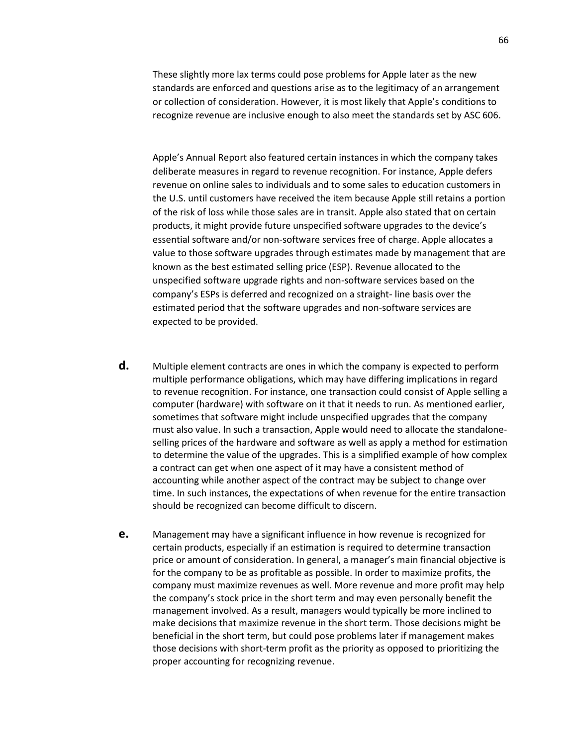These slightly more lax terms could pose problems for Apple later as the new standards are enforced and questions arise as to the legitimacy of an arrangement or collection of consideration. However, it is most likely that Apple's conditions to recognize revenue are inclusive enough to also meet the standards set by ASC 606.

Apple's Annual Report also featured certain instances in which the company takes deliberate measures in regard to revenue recognition. For instance, Apple defers revenue on online sales to individuals and to some sales to education customers in the U.S. until customers have received the item because Apple still retains a portion of the risk of loss while those sales are in transit. Apple also stated that on certain products, it might provide future unspecified software upgrades to the device's essential software and/or non-software services free of charge. Apple allocates a value to those software upgrades through estimates made by management that are known as the best estimated selling price (ESP). Revenue allocated to the unspecified software upgrade rights and non-software services based on the company's ESPs is deferred and recognized on a straight- line basis over the estimated period that the software upgrades and non-software services are expected to be provided.

- **d.** Multiple element contracts are ones in which the company is expected to perform multiple performance obligations, which may have differing implications in regard to revenue recognition. For instance, one transaction could consist of Apple selling a computer (hardware) with software on it that it needs to run. As mentioned earlier, sometimes that software might include unspecified upgrades that the company must also value. In such a transaction, Apple would need to allocate the standaloneselling prices of the hardware and software as well as apply a method for estimation to determine the value of the upgrades. This is a simplified example of how complex a contract can get when one aspect of it may have a consistent method of accounting while another aspect of the contract may be subject to change over time. In such instances, the expectations of when revenue for the entire transaction should be recognized can become difficult to discern.
- **e.** Management may have a significant influence in how revenue is recognized for certain products, especially if an estimation is required to determine transaction price or amount of consideration. In general, a manager's main financial objective is for the company to be as profitable as possible. In order to maximize profits, the company must maximize revenues as well. More revenue and more profit may help the company's stock price in the short term and may even personally benefit the management involved. As a result, managers would typically be more inclined to make decisions that maximize revenue in the short term. Those decisions might be beneficial in the short term, but could pose problems later if management makes those decisions with short-term profit as the priority as opposed to prioritizing the proper accounting for recognizing revenue.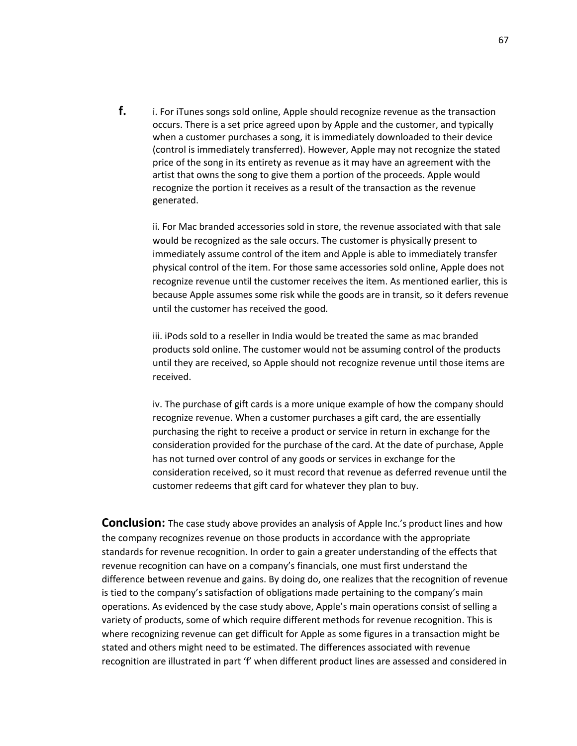**f.** i. For iTunes songs sold online, Apple should recognize revenue as the transaction occurs. There is a set price agreed upon by Apple and the customer, and typically when a customer purchases a song, it is immediately downloaded to their device (control is immediately transferred). However, Apple may not recognize the stated price of the song in its entirety as revenue as it may have an agreement with the artist that owns the song to give them a portion of the proceeds. Apple would recognize the portion it receives as a result of the transaction as the revenue generated.

ii. For Mac branded accessories sold in store, the revenue associated with that sale would be recognized as the sale occurs. The customer is physically present to immediately assume control of the item and Apple is able to immediately transfer physical control of the item. For those same accessories sold online, Apple does not recognize revenue until the customer receives the item. As mentioned earlier, this is because Apple assumes some risk while the goods are in transit, so it defers revenue until the customer has received the good.

iii. iPods sold to a reseller in India would be treated the same as mac branded products sold online. The customer would not be assuming control of the products until they are received, so Apple should not recognize revenue until those items are received.

iv. The purchase of gift cards is a more unique example of how the company should recognize revenue. When a customer purchases a gift card, the are essentially purchasing the right to receive a product or service in return in exchange for the consideration provided for the purchase of the card. At the date of purchase, Apple has not turned over control of any goods or services in exchange for the consideration received, so it must record that revenue as deferred revenue until the customer redeems that gift card for whatever they plan to buy.

**Conclusion:** The case study above provides an analysis of Apple Inc.'s product lines and how the company recognizes revenue on those products in accordance with the appropriate standards for revenue recognition. In order to gain a greater understanding of the effects that revenue recognition can have on a company's financials, one must first understand the difference between revenue and gains. By doing do, one realizes that the recognition of revenue is tied to the company's satisfaction of obligations made pertaining to the company's main operations. As evidenced by the case study above, Apple's main operations consist of selling a variety of products, some of which require different methods for revenue recognition. This is where recognizing revenue can get difficult for Apple as some figures in a transaction might be stated and others might need to be estimated. The differences associated with revenue recognition are illustrated in part 'f' when different product lines are assessed and considered in